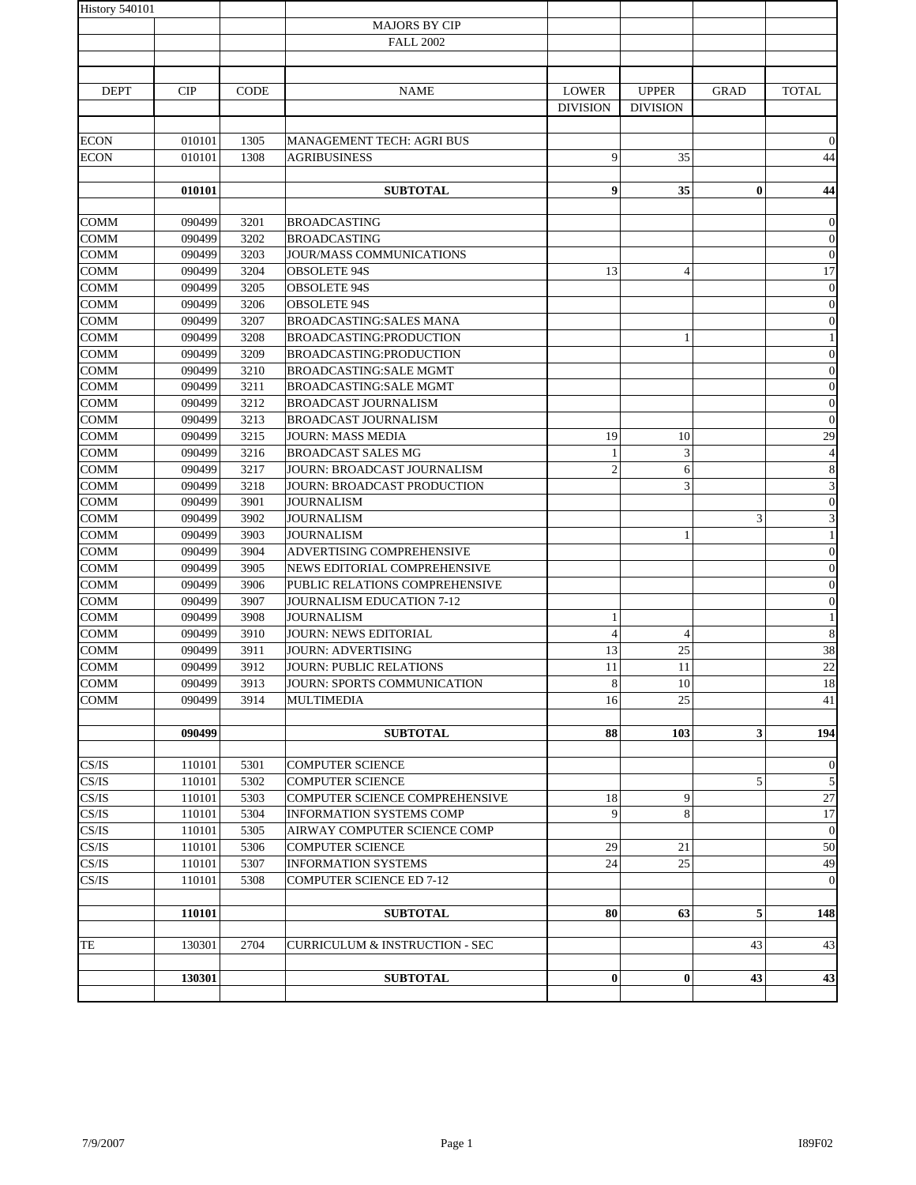| <b>History 540101</b>     |                  |              |                                           |                  |                 |                         |                             |
|---------------------------|------------------|--------------|-------------------------------------------|------------------|-----------------|-------------------------|-----------------------------|
|                           |                  |              | <b>MAJORS BY CIP</b>                      |                  |                 |                         |                             |
|                           |                  |              | <b>FALL 2002</b>                          |                  |                 |                         |                             |
|                           |                  |              |                                           |                  |                 |                         |                             |
|                           |                  |              |                                           |                  |                 |                         |                             |
| <b>DEPT</b>               | CIP              | <b>CODE</b>  | <b>NAME</b>                               | <b>LOWER</b>     | <b>UPPER</b>    | <b>GRAD</b>             | <b>TOTAL</b>                |
|                           |                  |              |                                           | <b>DIVISION</b>  | <b>DIVISION</b> |                         |                             |
|                           |                  |              |                                           |                  |                 |                         |                             |
| <b>ECON</b>               | 010101           | 1305         | MANAGEMENT TECH: AGRI BUS                 |                  |                 |                         | $\mathbf{0}$                |
| <b>ECON</b>               | 010101           | 1308         | <b>AGRIBUSINESS</b>                       | 9                | 35              |                         | 44                          |
|                           |                  |              |                                           |                  |                 |                         |                             |
|                           | 010101           |              | <b>SUBTOTAL</b>                           | $\boldsymbol{9}$ | 35              | $\bf{0}$                | 44                          |
| <b>COMM</b>               | 090499           | 3201         | <b>BROADCASTING</b>                       |                  |                 |                         | $\mathbf{0}$                |
| COMM                      | 090499           | 3202         | <b>BROADCASTING</b>                       |                  |                 |                         | $\boldsymbol{0}$            |
| <b>COMM</b>               | 090499           | 3203         | JOUR/MASS COMMUNICATIONS                  |                  |                 |                         | $\boldsymbol{0}$            |
| COMM                      | 090499           | 3204         | <b>OBSOLETE 94S</b>                       | 13               | $\overline{4}$  |                         | 17                          |
| <b>COMM</b>               | 090499           | 3205         | <b>OBSOLETE 94S</b>                       |                  |                 |                         | $\boldsymbol{0}$            |
| <b>COMM</b>               | 090499           | 3206         | <b>OBSOLETE 94S</b>                       |                  |                 |                         | $\boldsymbol{0}$            |
| <b>COMM</b>               | 090499           | 3207         | <b>BROADCASTING:SALES MANA</b>            |                  |                 |                         | $\mathbf{0}$                |
| <b>COMM</b>               | 090499           | 3208         | <b>BROADCASTING:PRODUCTION</b>            |                  | $\mathbf{1}$    |                         | $\mathbf{1}$                |
| <b>COMM</b>               | 090499           | 3209         | BROADCASTING:PRODUCTION                   |                  |                 |                         | $\boldsymbol{0}$            |
| COMM                      | 090499           | 3210         | <b>BROADCASTING:SALE MGMT</b>             |                  |                 |                         | $\boldsymbol{0}$            |
| <b>COMM</b>               | 090499           | 3211         | <b>BROADCASTING:SALE MGMT</b>             |                  |                 |                         | $\boldsymbol{0}$            |
| <b>COMM</b>               | 090499           | 3212         | <b>BROADCAST JOURNALISM</b>               |                  |                 |                         | $\boldsymbol{0}$            |
| <b>COMM</b>               | 090499           | 3213         | <b>BROADCAST JOURNALISM</b>               |                  |                 |                         | $\boldsymbol{0}$            |
| <b>COMM</b>               | 090499           | 3215         | <b>JOURN: MASS MEDIA</b>                  | 19               | 10              |                         | 29                          |
| <b>COMM</b>               | 090499           | 3216         | <b>BROADCAST SALES MG</b>                 | 1                | 3               |                         | $\overline{4}$              |
| <b>COMM</b>               | 090499           | 3217         | JOURN: BROADCAST JOURNALISM               | $\mathfrak{2}$   | 6               |                         | $\,8\,$                     |
| <b>COMM</b>               | 090499           | 3218         | JOURN: BROADCAST PRODUCTION               |                  | 3               |                         | $\overline{\mathbf{3}}$     |
| COMM                      | 090499           | 3901         | <b>JOURNALISM</b>                         |                  |                 |                         | $\boldsymbol{0}$            |
| <b>COMM</b>               | 090499           | 3902         | <b>JOURNALISM</b>                         |                  |                 | 3                       | $\ensuremath{\mathfrak{Z}}$ |
| <b>COMM</b>               | 090499           | 3903         | <b>JOURNALISM</b>                         |                  | 1               |                         | $\mathbf{1}$                |
| <b>COMM</b>               | 090499           | 3904         | ADVERTISING COMPREHENSIVE                 |                  |                 |                         | $\boldsymbol{0}$            |
| <b>COMM</b>               | 090499           | 3905         | NEWS EDITORIAL COMPREHENSIVE              |                  |                 |                         | $\mathbf{0}$                |
| <b>COMM</b>               | 090499           | 3906         | PUBLIC RELATIONS COMPREHENSIVE            |                  |                 |                         | $\boldsymbol{0}$            |
| <b>COMM</b>               | 090499           | 3907         | JOURNALISM EDUCATION 7-12                 |                  |                 |                         | $\boldsymbol{0}$            |
| <b>COMM</b>               | 090499           | 3908         | <b>JOURNALISM</b>                         | 1                |                 |                         | $\mathbf{1}$                |
| <b>COMM</b>               | 090499           | 3910         | <b>JOURN: NEWS EDITORIAL</b>              | $\overline{4}$   | $\overline{4}$  |                         | $\,$ 8 $\,$                 |
| <b>COMM</b>               | 090499           | 3911         | <b>JOURN: ADVERTISING</b>                 | 13               | 25              |                         | 38                          |
| <b>COMM</b>               | 090499           | 3912         | JOURN: PUBLIC RELATIONS                   | 11               | 11              |                         | $22\,$                      |
| <b>COMM</b>               | 090499           | 3913         | JOURN: SPORTS COMMUNICATION               | 8                | 10              |                         | 18                          |
| <b>COMM</b>               | 090499           | 3914         | MULTIMEDIA                                | 16               | 25              |                         | 41                          |
|                           |                  |              |                                           |                  |                 |                         |                             |
|                           | 090499           |              | <b>SUBTOTAL</b>                           | 88               | 103             | $\overline{\mathbf{3}}$ | 194                         |
| CS/IS                     |                  |              | <b>COMPUTER SCIENCE</b>                   |                  |                 |                         | $\mathbf{0}$                |
| CS/IS                     | 110101<br>110101 | 5301<br>5302 | <b>COMPUTER SCIENCE</b>                   |                  |                 | 5                       | $\sqrt{5}$                  |
| CS/IS                     | 110101           | 5303         | COMPUTER SCIENCE COMPREHENSIVE            | 18               | 9               |                         | 27                          |
| $\mathbf{CS}/\mathbf{IS}$ | 110101           | 5304         | <b>INFORMATION SYSTEMS COMP</b>           | 9                | 8               |                         | 17                          |
| CS/IS                     | 110101           | 5305         | AIRWAY COMPUTER SCIENCE COMP              |                  |                 |                         | $\mathbf{0}$                |
| CS/IS                     | 110101           | 5306         | <b>COMPUTER SCIENCE</b>                   | 29               | 21              |                         | 50                          |
| $\mathbf{CS}/\mathbf{IS}$ | 110101           | 5307         | <b>INFORMATION SYSTEMS</b>                | 24               | 25              |                         | 49                          |
| CS/IS                     | 110101           | 5308         | <b>COMPUTER SCIENCE ED 7-12</b>           |                  |                 |                         | $\mathbf{0}$                |
|                           |                  |              |                                           |                  |                 |                         |                             |
|                           | 110101           |              | <b>SUBTOTAL</b>                           | 80               | 63              | 5                       | 148                         |
|                           |                  |              |                                           |                  |                 |                         |                             |
| TE                        | 130301           | 2704         | <b>CURRICULUM &amp; INSTRUCTION - SEC</b> |                  |                 | 43                      | 43                          |
|                           |                  |              |                                           |                  |                 |                         |                             |
|                           | 130301           |              | <b>SUBTOTAL</b>                           | 0                | $\bf{0}$        | 43                      | 43                          |
|                           |                  |              |                                           |                  |                 |                         |                             |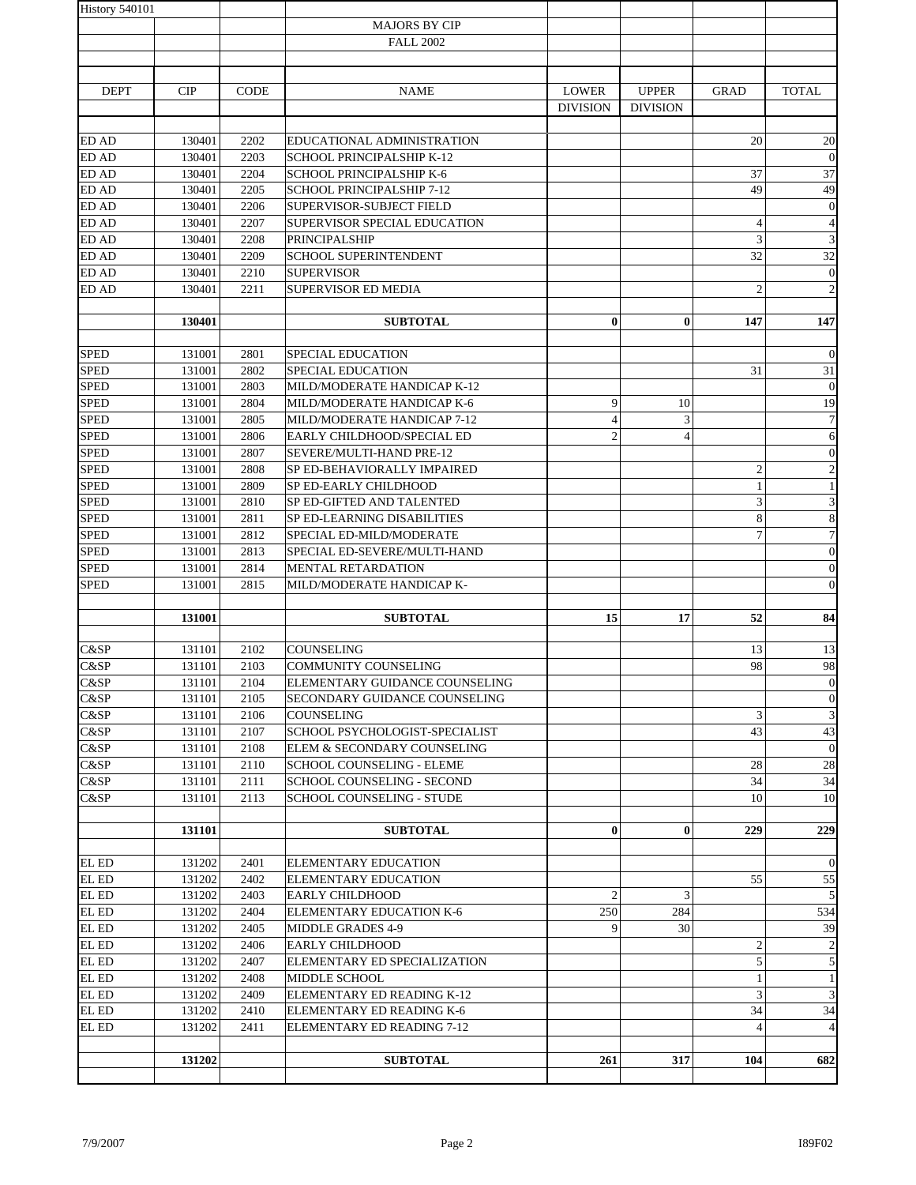| History 540101 |                  |              |                                                                 |                 |                 |                |                  |
|----------------|------------------|--------------|-----------------------------------------------------------------|-----------------|-----------------|----------------|------------------|
|                |                  |              | <b>MAJORS BY CIP</b>                                            |                 |                 |                |                  |
|                |                  |              | <b>FALL 2002</b>                                                |                 |                 |                |                  |
|                |                  |              |                                                                 |                 |                 |                |                  |
|                |                  |              |                                                                 |                 |                 |                |                  |
| <b>DEPT</b>    | CIP              | <b>CODE</b>  | <b>NAME</b>                                                     | <b>LOWER</b>    | <b>UPPER</b>    | <b>GRAD</b>    | <b>TOTAL</b>     |
|                |                  |              |                                                                 | <b>DIVISION</b> | <b>DIVISION</b> |                |                  |
|                |                  |              |                                                                 |                 |                 |                |                  |
| <b>ED AD</b>   | 130401           | 2202         | EDUCATIONAL ADMINISTRATION                                      |                 |                 | 20             | 20               |
| ED AD          | 130401           | 2203         | SCHOOL PRINCIPALSHIP K-12                                       |                 |                 |                | $\mathbf{0}$     |
| <b>ED AD</b>   | 130401           | 2204         | SCHOOL PRINCIPALSHIP K-6                                        |                 |                 | 37             | 37               |
| <b>ED AD</b>   | 130401           | 2205         | <b>SCHOOL PRINCIPALSHIP 7-12</b>                                |                 |                 | 49             | 49               |
| ED AD          | 130401           | 2206         | SUPERVISOR-SUBJECT FIELD                                        |                 |                 |                | $\mathbf{0}$     |
| <b>ED AD</b>   | 130401           | 2207         | SUPERVISOR SPECIAL EDUCATION                                    |                 |                 | $\overline{4}$ | $\sqrt{4}$       |
| ED AD          | 130401           | 2208         | PRINCIPALSHIP                                                   |                 |                 | 3              | $\sqrt{3}$       |
| ED AD          | 130401           | 2209         | <b>SCHOOL SUPERINTENDENT</b>                                    |                 |                 | 32             | 32               |
| <b>ED AD</b>   | 130401           | 2210         | <b>SUPERVISOR</b>                                               |                 |                 |                | $\mathbf{0}$     |
| ED AD          | 130401           | 2211         | SUPERVISOR ED MEDIA                                             |                 |                 | $\overline{c}$ | $\sqrt{2}$       |
|                |                  |              |                                                                 |                 |                 |                |                  |
|                | 130401           |              | <b>SUBTOTAL</b>                                                 | $\bf{0}$        | $\bf{0}$        | 147            | 147              |
|                |                  |              |                                                                 |                 |                 |                |                  |
| <b>SPED</b>    | 131001           | 2801         | <b>SPECIAL EDUCATION</b>                                        |                 |                 |                | $\boldsymbol{0}$ |
| <b>SPED</b>    | 131001           | 2802         | <b>SPECIAL EDUCATION</b>                                        |                 |                 | 31             | 31               |
| <b>SPED</b>    | 131001           | 2803         | MILD/MODERATE HANDICAP K-12                                     |                 |                 |                | $\boldsymbol{0}$ |
| <b>SPED</b>    | 131001           | 2804         | MILD/MODERATE HANDICAP K-6                                      | 9               | 10              |                | 19               |
| <b>SPED</b>    | 131001           | 2805         | MILD/MODERATE HANDICAP 7-12                                     | $\overline{4}$  | 3               |                | $\boldsymbol{7}$ |
| <b>SPED</b>    | 131001           | 2806         | EARLY CHILDHOOD/SPECIAL ED                                      | $\overline{2}$  | $\overline{4}$  |                | $\sqrt{6}$       |
| <b>SPED</b>    | 131001           | 2807         | SEVERE/MULTI-HAND PRE-12                                        |                 |                 |                | $\boldsymbol{0}$ |
| <b>SPED</b>    | 131001           | 2808         | SP ED-BEHAVIORALLY IMPAIRED                                     |                 |                 | $\overline{c}$ | $\overline{c}$   |
| <b>SPED</b>    | 131001           | 2809         | SP ED-EARLY CHILDHOOD                                           |                 |                 | $\mathbf{1}$   | $\,1\,$          |
| <b>SPED</b>    | 131001           | 2810         | SP ED-GIFTED AND TALENTED                                       |                 |                 | 3              | $\overline{3}$   |
| <b>SPED</b>    | 131001           | 2811         | SP ED-LEARNING DISABILITIES                                     |                 |                 | 8              | $\sqrt{8}$       |
| <b>SPED</b>    | 131001           | 2812         | SPECIAL ED-MILD/MODERATE                                        |                 |                 | $\overline{7}$ | $\overline{7}$   |
| <b>SPED</b>    | 131001           | 2813         | SPECIAL ED-SEVERE/MULTI-HAND                                    |                 |                 |                | $\boldsymbol{0}$ |
| <b>SPED</b>    | 131001           | 2814         | MENTAL RETARDATION                                              |                 |                 |                | $\boldsymbol{0}$ |
| <b>SPED</b>    | 131001           | 2815         | MILD/MODERATE HANDICAP K-                                       |                 |                 |                | $\boldsymbol{0}$ |
|                |                  |              |                                                                 |                 |                 |                |                  |
|                | 131001           |              | <b>SUBTOTAL</b>                                                 | 15              | 17              | 52             | 84               |
|                |                  |              |                                                                 |                 |                 |                |                  |
| C&SP           | 131101           | 2102         | COUNSELING                                                      |                 |                 | 13             | 13               |
| C&SP           | 131101           | 2103         | COMMUNITY COUNSELING                                            |                 |                 | 98             | 98               |
| C&SP           | 131101           | 2104         | ELEMENTARY GUIDANCE COUNSELING                                  |                 |                 |                | $\mathbf{0}$     |
| C&SP           | 131101           | 2105         | SECONDARY GUIDANCE COUNSELING                                   |                 |                 |                | $\mathbf{0}$     |
| C&SP           | 131101           | 2106         | COUNSELING                                                      |                 |                 | 3              | $\mathfrak{Z}$   |
| C&SP           | 131101           | 2107         | SCHOOL PSYCHOLOGIST-SPECIALIST                                  |                 |                 | 43             | 43               |
| C&SP           | 131101<br>131101 | 2108         | ELEM & SECONDARY COUNSELING<br><b>SCHOOL COUNSELING - ELEME</b> |                 |                 |                | $\mathbf{0}$     |
| C&SP           |                  | 2110         |                                                                 |                 |                 | 28             | 28               |
| C&SP<br>C&SP   | 131101<br>131101 | 2111<br>2113 | SCHOOL COUNSELING - SECOND<br>SCHOOL COUNSELING - STUDE         |                 |                 | 34<br>10       | 34<br>10         |
|                |                  |              |                                                                 |                 |                 |                |                  |
|                |                  |              | <b>SUBTOTAL</b>                                                 | $\bf{0}$        | $\bf{0}$        | 229            | 229              |
|                | 131101           |              |                                                                 |                 |                 |                |                  |
| EL ED          | 131202           | 2401         | ELEMENTARY EDUCATION                                            |                 |                 |                | $\mathbf{0}$     |
| EL ED          | 131202           | 2402         | ELEMENTARY EDUCATION                                            |                 |                 | 55             | 55               |
| EL ED          | 131202           | 2403         | <b>EARLY CHILDHOOD</b>                                          | $\overline{2}$  | 3               |                | $\sqrt{5}$       |
| EL ED          | 131202           | 2404         | ELEMENTARY EDUCATION K-6                                        | 250             | 284             |                | 534              |
| EL ED          | 131202           | 2405         | <b>MIDDLE GRADES 4-9</b>                                        | 9               | 30              |                | 39               |
| EL ED          | 131202           | 2406         | <b>EARLY CHILDHOOD</b>                                          |                 |                 | $\overline{c}$ | $\sqrt{2}$       |
| EL ED          | 131202           | 2407         | ELEMENTARY ED SPECIALIZATION                                    |                 |                 | $\overline{5}$ | $\sqrt{5}$       |
| EL ED          | 131202           | 2408         | MIDDLE SCHOOL                                                   |                 |                 | $\mathbf{1}$   | $\mathbf{1}$     |
| EL ED          | 131202           | 2409         | ELEMENTARY ED READING K-12                                      |                 |                 | 3              | $\overline{3}$   |
| EL ED          | 131202           | 2410         | ELEMENTARY ED READING K-6                                       |                 |                 | 34             | 34               |
| EL ED          | 131202           | 2411         | ELEMENTARY ED READING 7-12                                      |                 |                 | $\overline{4}$ | $\overline{4}$   |
|                |                  |              |                                                                 |                 |                 |                |                  |
|                | 131202           |              | <b>SUBTOTAL</b>                                                 | 261             | 317             | 104            | 682              |
|                |                  |              |                                                                 |                 |                 |                |                  |
|                |                  |              |                                                                 |                 |                 |                |                  |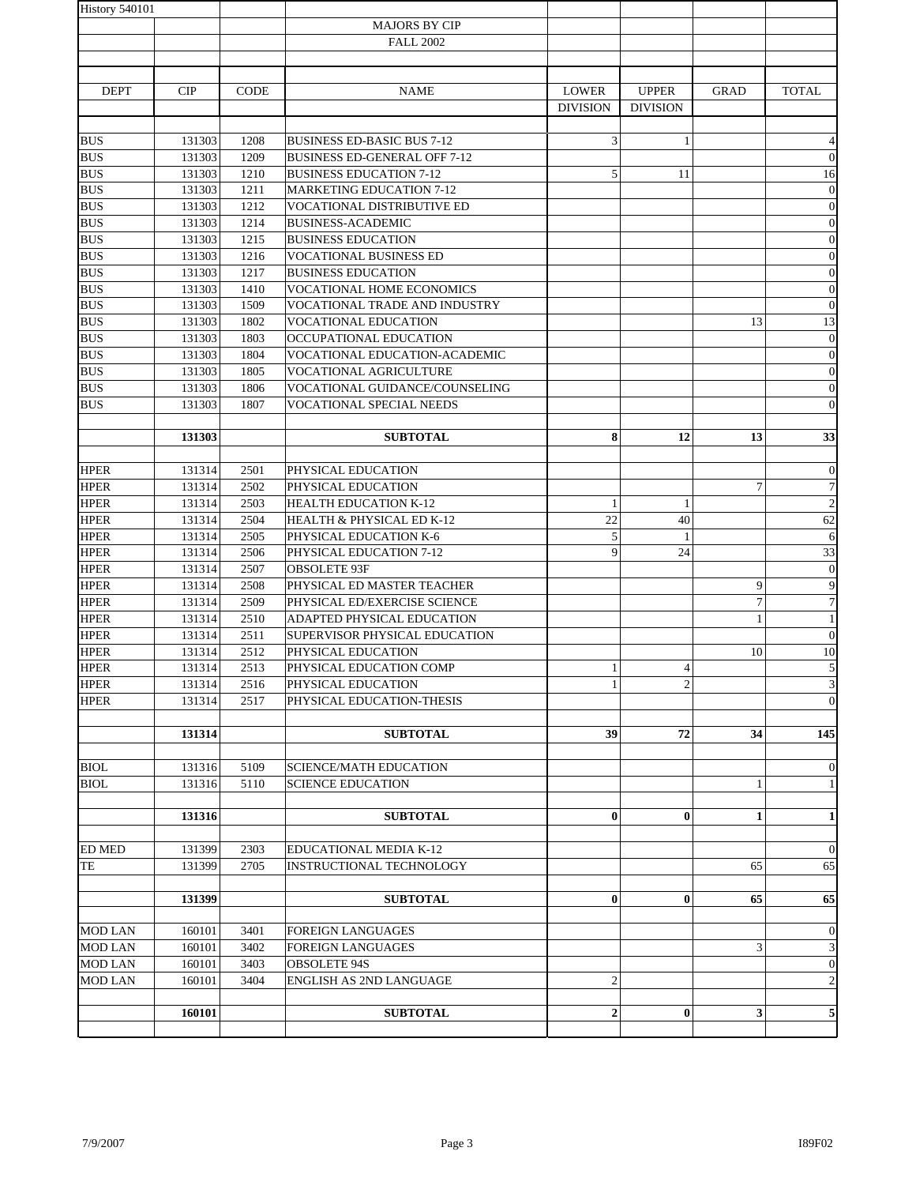| <b>History 540101</b>      |        |             |                                                 |                                 |                                 |                |                  |
|----------------------------|--------|-------------|-------------------------------------------------|---------------------------------|---------------------------------|----------------|------------------|
|                            |        |             | <b>MAJORS BY CIP</b>                            |                                 |                                 |                |                  |
|                            |        |             | <b>FALL 2002</b>                                |                                 |                                 |                |                  |
|                            |        |             |                                                 |                                 |                                 |                |                  |
|                            |        |             |                                                 |                                 |                                 |                |                  |
| <b>DEPT</b>                | CIP    | <b>CODE</b> | <b>NAME</b>                                     | <b>LOWER</b><br><b>DIVISION</b> | <b>UPPER</b><br><b>DIVISION</b> | <b>GRAD</b>    | <b>TOTAL</b>     |
|                            |        |             |                                                 |                                 |                                 |                |                  |
| <b>BUS</b>                 | 131303 | 1208        | <b>BUSINESS ED-BASIC BUS 7-12</b>               | 3                               | $\mathbf{1}$                    |                | $\overline{4}$   |
| <b>BUS</b>                 | 131303 | 1209        | <b>BUSINESS ED-GENERAL OFF 7-12</b>             |                                 |                                 |                | $\theta$         |
| <b>BUS</b>                 | 131303 | 1210        | <b>BUSINESS EDUCATION 7-12</b>                  | 5                               | 11                              |                | 16               |
| <b>BUS</b>                 | 131303 | 1211        | <b>MARKETING EDUCATION 7-12</b>                 |                                 |                                 |                | $\mathbf{0}$     |
| <b>BUS</b>                 | 131303 | 1212        | VOCATIONAL DISTRIBUTIVE ED                      |                                 |                                 |                | $\boldsymbol{0}$ |
| <b>BUS</b>                 | 131303 | 1214        | <b>BUSINESS-ACADEMIC</b>                        |                                 |                                 |                | $\boldsymbol{0}$ |
| <b>BUS</b>                 | 131303 | 1215        | <b>BUSINESS EDUCATION</b>                       |                                 |                                 |                | $\boldsymbol{0}$ |
| <b>BUS</b>                 | 131303 | 1216        | VOCATIONAL BUSINESS ED                          |                                 |                                 |                | $\mathbf{0}$     |
| <b>BUS</b>                 | 131303 | 1217        | <b>BUSINESS EDUCATION</b>                       |                                 |                                 |                | $\boldsymbol{0}$ |
| <b>BUS</b>                 | 131303 | 1410        | VOCATIONAL HOME ECONOMICS                       |                                 |                                 |                | $\mathbf{0}$     |
| <b>BUS</b>                 | 131303 | 1509        | VOCATIONAL TRADE AND INDUSTRY                   |                                 |                                 |                | $\boldsymbol{0}$ |
| <b>BUS</b>                 | 131303 | 1802        | VOCATIONAL EDUCATION                            |                                 |                                 | 13             | 13               |
| <b>BUS</b>                 | 131303 | 1803        | OCCUPATIONAL EDUCATION                          |                                 |                                 |                | $\mathbf{0}$     |
| <b>BUS</b>                 | 131303 | 1804        | VOCATIONAL EDUCATION-ACADEMIC                   |                                 |                                 |                | $\mathbf{0}$     |
| <b>BUS</b>                 | 131303 | 1805        | VOCATIONAL AGRICULTURE                          |                                 |                                 |                | $\boldsymbol{0}$ |
| <b>BUS</b>                 | 131303 | 1806        | VOCATIONAL GUIDANCE/COUNSELING                  |                                 |                                 |                | $\mathbf{0}$     |
| <b>BUS</b>                 | 131303 | 1807        | VOCATIONAL SPECIAL NEEDS                        |                                 |                                 |                | $\boldsymbol{0}$ |
|                            |        |             |                                                 |                                 |                                 |                |                  |
|                            | 131303 |             | <b>SUBTOTAL</b>                                 | 8                               | 12                              | 13             | 33               |
|                            |        |             |                                                 |                                 |                                 |                |                  |
| <b>HPER</b>                | 131314 | 2501        | PHYSICAL EDUCATION                              |                                 |                                 |                | $\mathbf{0}$     |
| <b>HPER</b>                | 131314 | 2502        | PHYSICAL EDUCATION                              |                                 |                                 | $\overline{7}$ | $\overline{7}$   |
| <b>HPER</b>                | 131314 | 2503        | <b>HEALTH EDUCATION K-12</b>                    | 1                               | $\mathbf{1}$                    |                | $\overline{2}$   |
| <b>HPER</b>                | 131314 | 2504        | <b>HEALTH &amp; PHYSICAL ED K-12</b>            | 22                              | 40                              |                | 62               |
| <b>HPER</b>                | 131314 | 2505        | PHYSICAL EDUCATION K-6                          | 5                               | $\mathbf{1}$                    |                | 6                |
| <b>HPER</b>                | 131314 | 2506        | PHYSICAL EDUCATION 7-12                         | 9                               | 24                              |                | 33               |
| <b>HPER</b>                | 131314 | 2507        | OBSOLETE 93F                                    |                                 |                                 |                | $\overline{0}$   |
| <b>HPER</b>                | 131314 | 2508        | PHYSICAL ED MASTER TEACHER                      |                                 |                                 | 9              | 9                |
| <b>HPER</b>                | 131314 | 2509        | PHYSICAL ED/EXERCISE SCIENCE                    |                                 |                                 | $\tau$         | $\boldsymbol{7}$ |
| <b>HPER</b>                | 131314 | 2510        | ADAPTED PHYSICAL EDUCATION                      |                                 |                                 | $\mathbf{1}$   | $\,1\,$          |
| <b>HPER</b>                | 131314 | 2511        | SUPERVISOR PHYSICAL EDUCATION                   |                                 |                                 |                | $\boldsymbol{0}$ |
| <b>HPER</b>                | 131314 | 2512        | PHYSICAL EDUCATION                              |                                 |                                 | 10             | 10               |
| <b>HPER</b>                | 131314 | 2513        | PHYSICAL EDUCATION COMP                         | $\mathbf{1}$                    | $\overline{\mathcal{L}}$        |                | 5                |
| <b>HPER</b><br><b>HPER</b> | 131314 | 2516        | PHYSICAL EDUCATION<br>PHYSICAL EDUCATION-THESIS | 1                               | $\mathfrak{2}$                  |                | $\mathbf{3}$     |
|                            | 131314 | 2517        |                                                 |                                 |                                 |                | $\theta$         |
|                            | 131314 |             | <b>SUBTOTAL</b>                                 | 39                              | 72                              | 34             | 145              |
|                            |        |             |                                                 |                                 |                                 |                |                  |
| <b>BIOL</b>                | 131316 | 5109        | <b>SCIENCE/MATH EDUCATION</b>                   |                                 |                                 |                | $\theta$         |
| <b>BIOL</b>                | 131316 | 5110        | <b>SCIENCE EDUCATION</b>                        |                                 |                                 | 1              | 1                |
|                            |        |             |                                                 |                                 |                                 |                |                  |
|                            | 131316 |             | <b>SUBTOTAL</b>                                 | $\bf{0}$                        | $\bf{0}$                        | 1              | $\mathbf{1}$     |
|                            |        |             |                                                 |                                 |                                 |                |                  |
| <b>ED MED</b>              | 131399 | 2303        | EDUCATIONAL MEDIA K-12                          |                                 |                                 |                | $\theta$         |
| TE                         | 131399 | 2705        | <b>INSTRUCTIONAL TECHNOLOGY</b>                 |                                 |                                 | 65             | 65               |
|                            |        |             |                                                 |                                 |                                 |                |                  |
|                            | 131399 |             | <b>SUBTOTAL</b>                                 | $\bf{0}$                        | $\bf{0}$                        | 65             | 65               |
|                            |        |             |                                                 |                                 |                                 |                |                  |
| <b>MOD LAN</b>             | 160101 | 3401        | <b>FOREIGN LANGUAGES</b>                        |                                 |                                 |                | $\mathbf{0}$     |
| <b>MOD LAN</b>             | 160101 | 3402        | <b>FOREIGN LANGUAGES</b>                        |                                 |                                 | 3              | $\mathfrak{Z}$   |
| <b>MOD LAN</b>             | 160101 | 3403        | <b>OBSOLETE 94S</b>                             |                                 |                                 |                | $\theta$         |
| <b>MOD LAN</b>             | 160101 | 3404        | ENGLISH AS 2ND LANGUAGE                         | $\overline{2}$                  |                                 |                | $\overline{2}$   |
|                            |        |             |                                                 |                                 |                                 |                |                  |
|                            | 160101 |             | <b>SUBTOTAL</b>                                 | $\overline{2}$                  | $\bf{0}$                        | 3              | 5                |
|                            |        |             |                                                 |                                 |                                 |                |                  |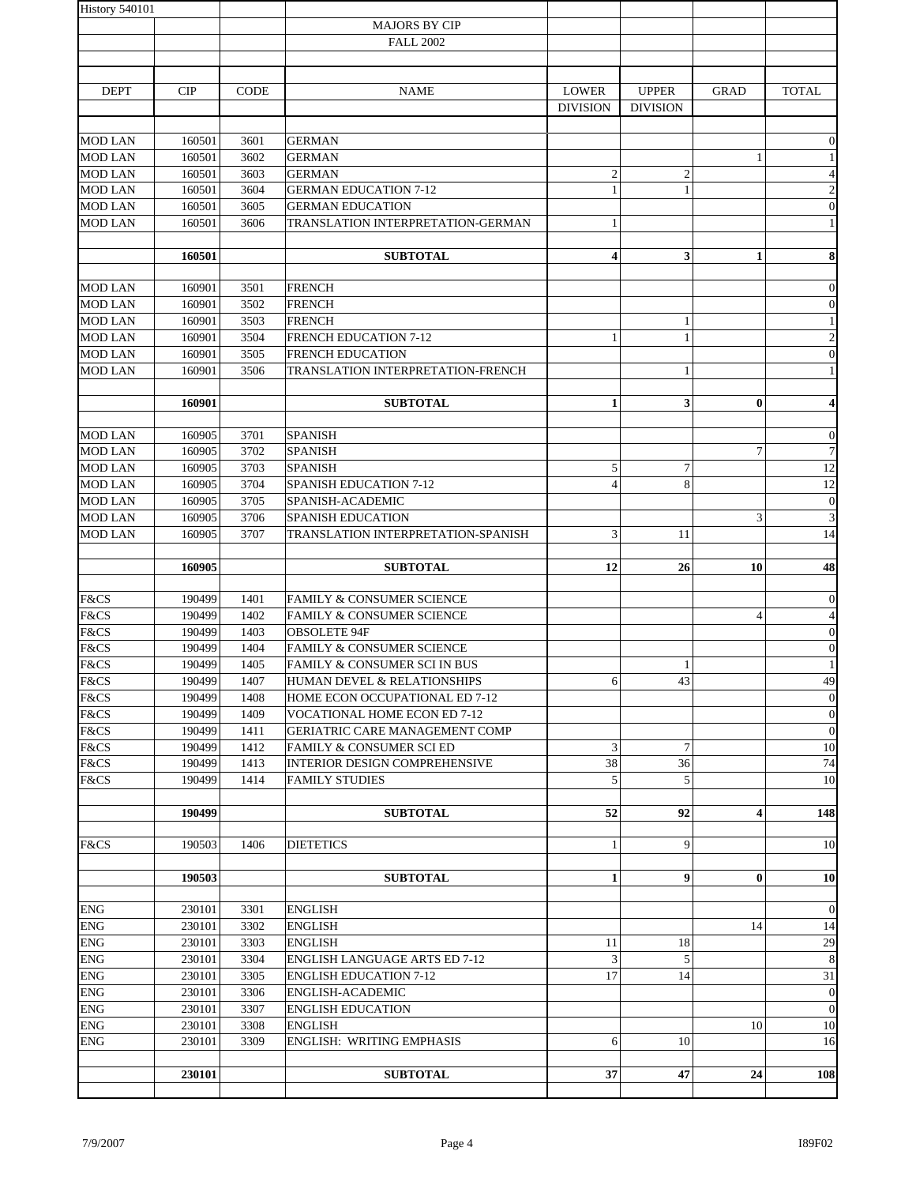| History 540101 |                  |              |                                                                |                 |                         |                |                              |
|----------------|------------------|--------------|----------------------------------------------------------------|-----------------|-------------------------|----------------|------------------------------|
|                |                  |              | <b>MAJORS BY CIP</b>                                           |                 |                         |                |                              |
|                |                  |              | <b>FALL 2002</b>                                               |                 |                         |                |                              |
| <b>DEPT</b>    | CIP              | <b>CODE</b>  | <b>NAME</b>                                                    | <b>LOWER</b>    | <b>UPPER</b>            | <b>GRAD</b>    | <b>TOTAL</b>                 |
|                |                  |              |                                                                | <b>DIVISION</b> | <b>DIVISION</b>         |                |                              |
|                |                  |              |                                                                |                 |                         |                |                              |
| <b>MOD LAN</b> | 160501           | 3601         | <b>GERMAN</b>                                                  |                 |                         |                | $\boldsymbol{0}$             |
| <b>MOD LAN</b> | 160501           | 3602         | <b>GERMAN</b>                                                  |                 |                         | 1              | 1                            |
| <b>MOD LAN</b> | 160501           | 3603         | <b>GERMAN</b>                                                  | $\overline{2}$  | $\mathfrak{2}$          |                | $\overline{4}$               |
| <b>MOD LAN</b> | 160501           | 3604         | <b>GERMAN EDUCATION 7-12</b>                                   | $\mathbf{1}$    | $\mathbf{1}$            |                | $\overline{2}$               |
| <b>MOD LAN</b> | 160501           | 3605         | <b>GERMAN EDUCATION</b>                                        |                 |                         |                | $\boldsymbol{0}$             |
| <b>MOD LAN</b> | 160501           | 3606         | TRANSLATION INTERPRETATION-GERMAN                              | $\mathbf{1}$    |                         |                | $\mathbf{1}$                 |
|                | 160501           |              | <b>SUBTOTAL</b>                                                | 4               | 3                       | $\mathbf{1}$   | 8                            |
| <b>MOD LAN</b> | 160901           | 3501         | <b>FRENCH</b>                                                  |                 |                         |                | $\mathbf{0}$                 |
| <b>MOD LAN</b> | 160901           | 3502         | <b>FRENCH</b>                                                  |                 |                         |                | $\boldsymbol{0}$             |
| <b>MOD LAN</b> | 160901           | 3503         | <b>FRENCH</b>                                                  |                 | $\mathbf{1}$            |                | $\mathbf{1}$                 |
| <b>MOD LAN</b> | 160901           | 3504         | <b>FRENCH EDUCATION 7-12</b>                                   | 1               | $\mathbf{1}$            |                | $\sqrt{2}$                   |
| <b>MOD LAN</b> | 160901           | 3505         | FRENCH EDUCATION                                               |                 |                         |                | $\boldsymbol{0}$             |
| <b>MOD LAN</b> | 160901           | 3506         | TRANSLATION INTERPRETATION-FRENCH                              |                 | 1                       |                | $\mathbf{1}$                 |
|                | 160901           |              | <b>SUBTOTAL</b>                                                | $\mathbf{1}$    | $\overline{\mathbf{3}}$ | $\bf{0}$       | $\overline{\mathbf{4}}$      |
| <b>MOD LAN</b> | 160905           | 3701         | <b>SPANISH</b>                                                 |                 |                         |                | $\mathbf{0}$                 |
| <b>MOD LAN</b> | 160905           | 3702         | <b>SPANISH</b>                                                 |                 |                         | $\tau$         | $\tau$                       |
| <b>MOD LAN</b> | 160905           | 3703         | <b>SPANISH</b>                                                 | 5               | $\overline{7}$          |                | 12                           |
| <b>MOD LAN</b> | 160905           | 3704         | SPANISH EDUCATION 7-12                                         | $\overline{4}$  | $\,8\,$                 |                | 12                           |
| <b>MOD LAN</b> | 160905           | 3705         | SPANISH-ACADEMIC                                               |                 |                         |                | $\boldsymbol{0}$             |
| <b>MOD LAN</b> | 160905           | 3706         | SPANISH EDUCATION                                              |                 |                         | 3              | $\overline{3}$               |
| <b>MOD LAN</b> | 160905           | 3707         | TRANSLATION INTERPRETATION-SPANISH                             | 3               | 11                      |                | 14                           |
|                | 160905           |              | <b>SUBTOTAL</b>                                                | 12              | 26                      | 10             | 48                           |
|                |                  |              |                                                                |                 |                         |                |                              |
| F&CS           | 190499           | 1401         | FAMILY & CONSUMER SCIENCE                                      |                 |                         |                | $\mathbf{0}$                 |
| F&CS           | 190499           | 1402         | <b>FAMILY &amp; CONSUMER SCIENCE</b>                           |                 |                         | $\overline{4}$ | $\overline{4}$               |
| F&CS           | 190499           | 1403         | OBSOLETE 94F                                                   |                 |                         |                | $\boldsymbol{0}$             |
| F&CS           | 190499           | 1404         | <b>FAMILY &amp; CONSUMER SCIENCE</b>                           |                 |                         |                | $\boldsymbol{0}$             |
| F&CS           | 190499           | 1405         | FAMILY & CONSUMER SCI IN BUS                                   |                 | 1                       |                | $\,1\,$                      |
| F&CS           | 190499           | 1407         | HUMAN DEVEL & RELATIONSHIPS                                    | 6               | 43                      |                | 49                           |
| F&CS<br>F&CS   | 190499<br>190499 | 1408<br>1409 | HOME ECON OCCUPATIONAL ED 7-12<br>VOCATIONAL HOME ECON ED 7-12 |                 |                         |                | $\mathbf{0}$<br>$\mathbf{0}$ |
| F&CS           | 190499           | 1411         | GERIATRIC CARE MANAGEMENT COMP                                 |                 |                         |                | $\overline{0}$               |
| F&CS           | 190499           | 1412         | FAMILY & CONSUMER SCI ED                                       | 3               | 7                       |                | 10                           |
| F&CS           | 190499           | 1413         | INTERIOR DESIGN COMPREHENSIVE                                  | 38              | 36                      |                | 74                           |
| F&CS           | 190499           | 1414         | <b>FAMILY STUDIES</b>                                          | 5               | 5                       |                | 10                           |
|                |                  |              |                                                                |                 |                         |                |                              |
|                | 190499           |              | <b>SUBTOTAL</b>                                                | 52              | 92                      | 4              | 148                          |
| F&CS           | 190503           | 1406         | <b>DIETETICS</b>                                               | 1               | 9                       |                | 10                           |
|                | 190503           |              | <b>SUBTOTAL</b>                                                | 1               | 9                       | $\bf{0}$       | 10                           |
| <b>ENG</b>     | 230101           | 3301         | <b>ENGLISH</b>                                                 |                 |                         |                | $\theta$                     |
| <b>ENG</b>     | 230101           | 3302         | <b>ENGLISH</b>                                                 |                 |                         | 14             | 14                           |
| <b>ENG</b>     | 230101           | 3303         | <b>ENGLISH</b>                                                 | 11              | 18                      |                | 29                           |
| <b>ENG</b>     | 230101           | 3304         | <b>ENGLISH LANGUAGE ARTS ED 7-12</b>                           | $\mathfrak{Z}$  | $\sqrt{5}$              |                | $\overline{8}$               |
| <b>ENG</b>     | 230101           | 3305         | <b>ENGLISH EDUCATION 7-12</b>                                  | 17              | 14                      |                | 31                           |
| <b>ENG</b>     | 230101           | 3306         | ENGLISH-ACADEMIC                                               |                 |                         |                | $\mathbf{0}$                 |
| <b>ENG</b>     | 230101           | 3307         | <b>ENGLISH EDUCATION</b>                                       |                 |                         |                | $\boldsymbol{0}$             |
| ENG            | 230101           | 3308         | <b>ENGLISH</b>                                                 |                 |                         | 10             | 10                           |
| <b>ENG</b>     | 230101           | 3309         | ENGLISH: WRITING EMPHASIS                                      | 6               | 10                      |                | 16                           |
|                |                  |              |                                                                |                 |                         |                |                              |
|                | 230101           |              | <b>SUBTOTAL</b>                                                | 37              | 47                      | 24             | 108                          |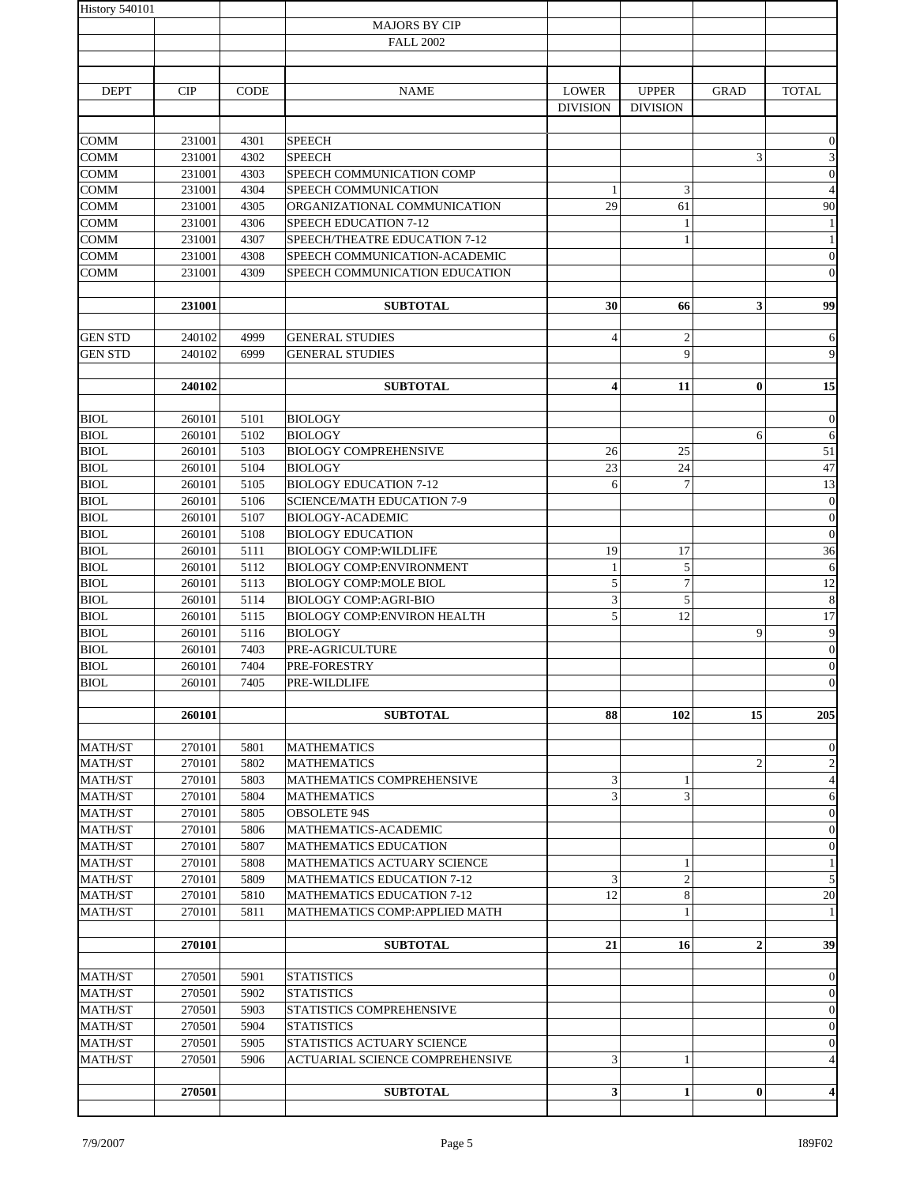| <b>History 540101</b>      |                  |              |                                              |                 |                  |                  |                                |
|----------------------------|------------------|--------------|----------------------------------------------|-----------------|------------------|------------------|--------------------------------|
|                            |                  |              | <b>MAJORS BY CIP</b>                         |                 |                  |                  |                                |
|                            |                  |              | <b>FALL 2002</b>                             |                 |                  |                  |                                |
|                            |                  |              |                                              |                 |                  |                  |                                |
| <b>DEPT</b>                | <b>CIP</b>       | <b>CODE</b>  | <b>NAME</b>                                  | LOWER           | <b>UPPER</b>     | <b>GRAD</b>      | <b>TOTAL</b>                   |
|                            |                  |              |                                              | <b>DIVISION</b> | <b>DIVISION</b>  |                  |                                |
|                            |                  |              |                                              |                 |                  |                  |                                |
| COMM                       | 231001           | 4301         | <b>SPEECH</b>                                |                 |                  |                  | $\mathbf{0}$                   |
| COMM                       | 231001           | 4302         | <b>SPEECH</b>                                |                 |                  | 3                | $\mathbf{3}$                   |
| <b>COMM</b>                | 231001           | 4303         | SPEECH COMMUNICATION COMP                    |                 |                  |                  | $\boldsymbol{0}$               |
| COMM                       | 231001           | 4304         | SPEECH COMMUNICATION                         | 1               | 3                |                  | $\overline{4}$                 |
| COMM                       | 231001           | 4305         | ORGANIZATIONAL COMMUNICATION                 | 29              | 61               |                  | 90                             |
| <b>COMM</b>                | 231001           | 4306         | SPEECH EDUCATION 7-12                        |                 | $\mathbf{1}$     |                  | $\mathbf{1}$                   |
| <b>COMM</b>                | 231001           | 4307         | SPEECH/THEATRE EDUCATION 7-12                |                 | $\mathbf{1}$     |                  | $\,1\,$                        |
| <b>COMM</b>                | 231001           | 4308         | SPEECH COMMUNICATION-ACADEMIC                |                 |                  |                  | $\mathbf{0}$                   |
| <b>COMM</b>                | 231001           | 4309         | SPEECH COMMUNICATION EDUCATION               |                 |                  |                  | $\boldsymbol{0}$               |
|                            | 231001           |              | <b>SUBTOTAL</b>                              | 30              | 66               | 3                | 99                             |
|                            |                  |              |                                              |                 |                  |                  |                                |
| <b>GEN STD</b>             | 240102           | 4999         | <b>GENERAL STUDIES</b>                       | 4               | $\overline{2}$   |                  | 6                              |
| <b>GEN STD</b>             | 240102           | 6999         | <b>GENERAL STUDIES</b>                       |                 | 9                |                  | 9                              |
|                            |                  |              |                                              |                 |                  |                  |                                |
|                            | 240102           |              | <b>SUBTOTAL</b>                              | 4               | 11               | $\bf{0}$         | 15                             |
|                            |                  |              |                                              |                 |                  |                  |                                |
| <b>BIOL</b>                | 260101           | 5101         | <b>BIOLOGY</b>                               |                 |                  |                  | $\mathbf{0}$                   |
| <b>BIOL</b>                | 260101           | 5102         | <b>BIOLOGY</b>                               |                 |                  | 6                | 6                              |
| <b>BIOL</b>                | 260101           | 5103         | <b>BIOLOGY COMPREHENSIVE</b>                 | 26              | 25               |                  | 51                             |
| <b>BIOL</b>                | 260101           | 5104         | <b>BIOLOGY</b>                               | 23              | 24               |                  | 47                             |
| <b>BIOL</b>                | 260101           | 5105         | <b>BIOLOGY EDUCATION 7-12</b>                | 6               | $\overline{7}$   |                  | 13                             |
| <b>BIOL</b><br><b>BIOL</b> | 260101           | 5106         | <b>SCIENCE/MATH EDUCATION 7-9</b>            |                 |                  |                  | $\mathbf{0}$                   |
| <b>BIOL</b>                | 260101<br>260101 | 5107<br>5108 | BIOLOGY-ACADEMIC<br><b>BIOLOGY EDUCATION</b> |                 |                  |                  | $\mathbf{0}$<br>$\overline{0}$ |
| <b>BIOL</b>                | 260101           | 5111         | <b>BIOLOGY COMP: WILDLIFE</b>                | 19              | 17               |                  | 36                             |
| <b>BIOL</b>                | 260101           | 5112         | <b>BIOLOGY COMP:ENVIRONMENT</b>              | 1               | 5                |                  | 6                              |
| <b>BIOL</b>                | 260101           | 5113         | <b>BIOLOGY COMP:MOLE BIOL</b>                | 5               | $\boldsymbol{7}$ |                  | 12                             |
| <b>BIOL</b>                | 260101           | 5114         | <b>BIOLOGY COMP:AGRI-BIO</b>                 | 3               | 5                |                  | 8                              |
| <b>BIOL</b>                | 260101           | 5115         | <b>BIOLOGY COMP:ENVIRON HEALTH</b>           | 5               | 12               |                  | 17                             |
| <b>BIOL</b>                | 260101           | 5116         | <b>BIOLOGY</b>                               |                 |                  | 9                | 9                              |
| <b>BIOL</b>                | 260101           | 7403         | PRE-AGRICULTURE                              |                 |                  |                  | $\boldsymbol{0}$               |
| <b>BIOL</b>                | 260101           | 7404         | PRE-FORESTRY                                 |                 |                  |                  | $\overline{0}$                 |
| <b>BIOL</b>                | 260101           | 7405         | PRE-WILDLIFE                                 |                 |                  |                  | $\mathbf{0}$                   |
|                            |                  |              |                                              |                 |                  |                  |                                |
|                            | 260101           |              | <b>SUBTOTAL</b>                              | 88              | 102              | 15               | 205                            |
| <b>MATH/ST</b>             | 270101           | 5801         | <b>MATHEMATICS</b>                           |                 |                  |                  | $\theta$                       |
| <b>MATH/ST</b>             | 270101           | 5802         | <b>MATHEMATICS</b>                           |                 |                  | $\overline{2}$   | $\overline{2}$                 |
| <b>MATH/ST</b>             | 270101           | 5803         | <b>MATHEMATICS COMPREHENSIVE</b>             | 3               | $\mathbf{1}$     |                  | $\overline{4}$                 |
| <b>MATH/ST</b>             | 270101           | 5804         | <b>MATHEMATICS</b>                           | 3               | 3                |                  | 6                              |
| MATH/ST                    | 270101           | 5805         | <b>OBSOLETE 94S</b>                          |                 |                  |                  | $\theta$                       |
| <b>MATH/ST</b>             | 270101           | 5806         | MATHEMATICS-ACADEMIC                         |                 |                  |                  | $\theta$                       |
| <b>MATH/ST</b>             | 270101           | 5807         | <b>MATHEMATICS EDUCATION</b>                 |                 |                  |                  | $\mathbf{0}$                   |
| <b>MATH/ST</b>             | 270101           | 5808         | MATHEMATICS ACTUARY SCIENCE                  |                 | 1                |                  | $\mathbf{1}$                   |
| <b>MATH/ST</b>             | 270101           | 5809         | <b>MATHEMATICS EDUCATION 7-12</b>            | 3               | $\sqrt{2}$       |                  | 5                              |
| <b>MATH/ST</b>             | 270101           | 5810         | MATHEMATICS EDUCATION 7-12                   | 12              | $\,$ 8 $\,$      |                  | 20                             |
| <b>MATH/ST</b>             | 270101           | 5811         | MATHEMATICS COMP: APPLIED MATH               |                 | $\mathbf{1}$     |                  | $\mathbf{1}$                   |
|                            |                  |              |                                              |                 |                  |                  |                                |
|                            | 270101           |              | <b>SUBTOTAL</b>                              | 21              | 16               | $\boldsymbol{2}$ | 39                             |
| <b>MATH/ST</b>             | 270501           | 5901         | <b>STATISTICS</b>                            |                 |                  |                  | $\theta$                       |
| <b>MATH/ST</b>             | 270501           | 5902         | <b>STATISTICS</b>                            |                 |                  |                  | $\mathbf{0}$                   |
| <b>MATH/ST</b>             | 270501           | 5903         | STATISTICS COMPREHENSIVE                     |                 |                  |                  | $\theta$                       |
| <b>MATH/ST</b>             | 270501           | 5904         | <b>STATISTICS</b>                            |                 |                  |                  | $\mathbf{0}$                   |
| <b>MATH/ST</b>             | 270501           | 5905         | STATISTICS ACTUARY SCIENCE                   |                 |                  |                  | $\mathbf{0}$                   |
| <b>MATH/ST</b>             | 270501           | 5906         | ACTUARIAL SCIENCE COMPREHENSIVE              | 3               | 1                |                  | $\overline{4}$                 |
|                            |                  |              |                                              |                 |                  |                  |                                |
|                            | 270501           |              | <b>SUBTOTAL</b>                              | $\mathbf{3}$    | $\mathbf{1}$     | $\bf{0}$         | $\overline{\mathbf{4}}$        |
|                            |                  |              |                                              |                 |                  |                  |                                |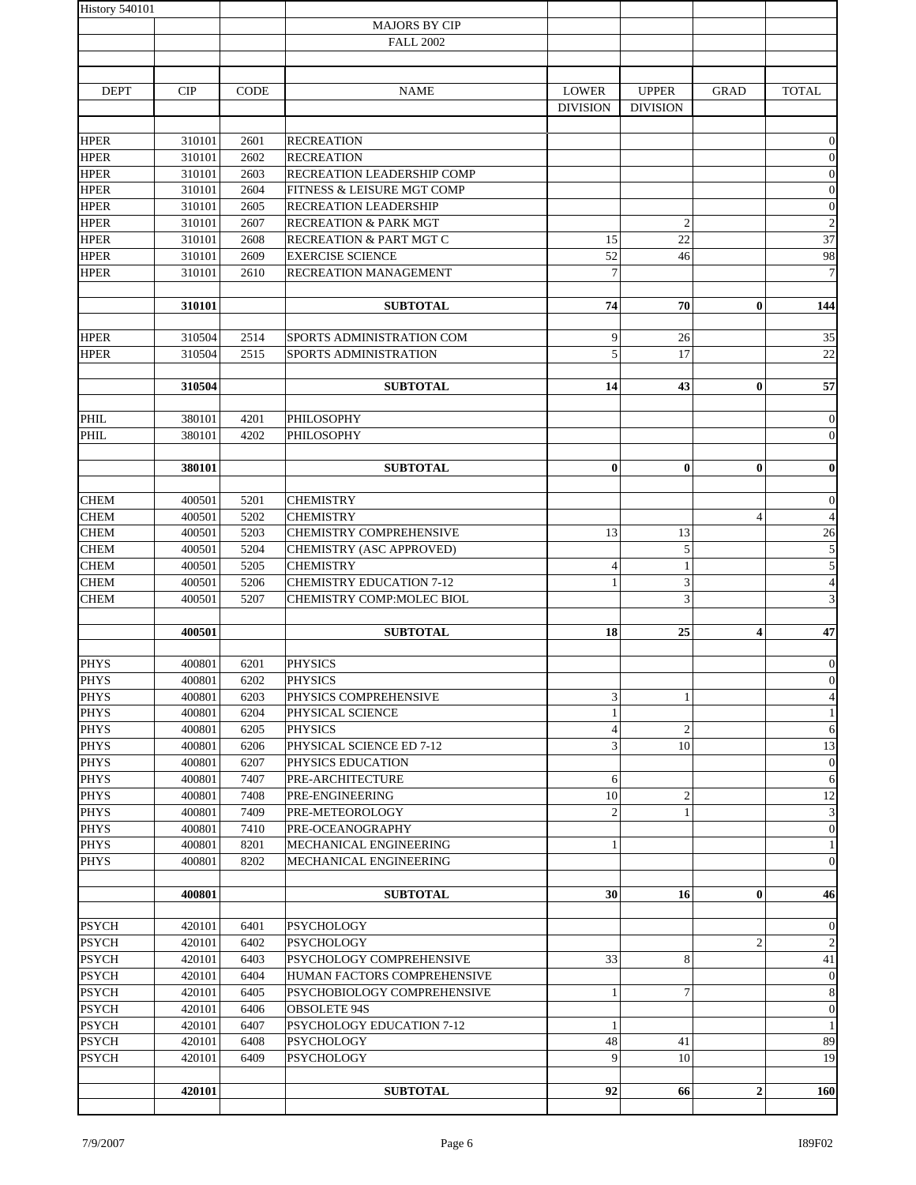| <b>History 540101</b>        |                  |              |                                                |                                 |                                 |                         |                      |
|------------------------------|------------------|--------------|------------------------------------------------|---------------------------------|---------------------------------|-------------------------|----------------------|
|                              |                  |              | <b>MAJORS BY CIP</b>                           |                                 |                                 |                         |                      |
|                              |                  |              | <b>FALL 2002</b>                               |                                 |                                 |                         |                      |
|                              |                  |              |                                                |                                 |                                 |                         |                      |
| <b>DEPT</b>                  | CIP              | CODE         | <b>NAME</b>                                    | <b>LOWER</b><br><b>DIVISION</b> | <b>UPPER</b><br><b>DIVISION</b> | <b>GRAD</b>             | <b>TOTAL</b>         |
| <b>HPER</b>                  | 310101           | 2601         | <b>RECREATION</b>                              |                                 |                                 |                         | $\mathbf{0}$         |
| <b>HPER</b>                  | 310101           | 2602         | <b>RECREATION</b>                              |                                 |                                 |                         | $\boldsymbol{0}$     |
| <b>HPER</b>                  | 310101           | 2603         | RECREATION LEADERSHIP COMP                     |                                 |                                 |                         | $\boldsymbol{0}$     |
| <b>HPER</b>                  | 310101           | 2604         | FITNESS & LEISURE MGT COMP                     |                                 |                                 |                         | $\boldsymbol{0}$     |
| <b>HPER</b>                  | 310101           | 2605         | RECREATION LEADERSHIP                          |                                 |                                 |                         | $\overline{0}$       |
| <b>HPER</b>                  | 310101           | 2607         | <b>RECREATION &amp; PARK MGT</b>               |                                 | $\mathfrak{2}$                  |                         | $\overline{2}$       |
| <b>HPER</b>                  | 310101           | 2608         | RECREATION & PART MGT C                        | 15                              | 22                              |                         | 37                   |
| <b>HPER</b>                  | 310101           | 2609         | <b>EXERCISE SCIENCE</b>                        | 52                              | 46                              |                         | 98                   |
| <b>HPER</b>                  | 310101           | 2610         | RECREATION MANAGEMENT                          | 7                               |                                 |                         | $\overline{7}$       |
|                              | 310101           |              | <b>SUBTOTAL</b>                                | 74                              | 70                              | $\bf{0}$                | 144                  |
| <b>HPER</b>                  | 310504           | 2514         | SPORTS ADMINISTRATION COM                      | 9                               | 26                              |                         | 35                   |
| <b>HPER</b>                  | 310504           | 2515         | SPORTS ADMINISTRATION                          | 5                               | 17                              |                         | 22                   |
|                              |                  |              |                                                |                                 |                                 |                         |                      |
|                              | 310504           |              | <b>SUBTOTAL</b>                                | 14                              | 43                              | $\bf{0}$                | 57                   |
| PHIL                         | 380101           | 4201         | PHILOSOPHY                                     |                                 |                                 |                         | $\mathbf{0}$         |
| PHIL                         | 380101           | 4202         | <b>PHILOSOPHY</b>                              |                                 |                                 |                         | $\boldsymbol{0}$     |
|                              | 380101           |              | <b>SUBTOTAL</b>                                | $\bf{0}$                        | $\bf{0}$                        | $\bf{0}$                | $\bf{0}$             |
| <b>CHEM</b>                  | 400501           | 5201         | <b>CHEMISTRY</b>                               |                                 |                                 |                         | $\boldsymbol{0}$     |
| <b>CHEM</b>                  | 400501           | 5202         | <b>CHEMISTRY</b>                               |                                 |                                 | $\overline{4}$          | $\overline{4}$       |
| <b>CHEM</b>                  | 400501           | 5203         | <b>CHEMISTRY COMPREHENSIVE</b>                 | 13                              | 13                              |                         | 26                   |
| <b>CHEM</b>                  | 400501           | 5204         | CHEMISTRY (ASC APPROVED)                       |                                 | 5                               |                         | $\overline{5}$       |
| <b>CHEM</b>                  | 400501           | 5205         | <b>CHEMISTRY</b>                               | 4                               | $\,1\,$                         |                         | 5                    |
| <b>CHEM</b>                  | 400501           | 5206         | <b>CHEMISTRY EDUCATION 7-12</b>                | 1                               | 3                               |                         | $\overline{4}$       |
| <b>CHEM</b>                  | 400501           | 5207         | CHEMISTRY COMP:MOLEC BIOL                      |                                 | 3                               |                         | 3                    |
|                              | 400501           |              | <b>SUBTOTAL</b>                                | 18                              | 25                              | $\overline{\mathbf{4}}$ | 47                   |
| <b>PHYS</b>                  | 400801           | 6201         | <b>PHYSICS</b>                                 |                                 |                                 |                         | $\boldsymbol{0}$     |
| <b>PHYS</b>                  | 400801           | 6202         | <b>PHYSICS</b>                                 |                                 |                                 |                         | $\mathbf{0}$         |
| <b>PHYS</b>                  | 400801           | 6203         | PHYSICS COMPREHENSIVE                          | 3                               | $\mathbf{1}$                    |                         | $\overline{4}$       |
| <b>PHYS</b>                  | 400801           | 6204         | PHYSICAL SCIENCE                               | 1                               |                                 |                         | 1                    |
| <b>PHYS</b>                  | 400801           | 6205         | <b>PHYSICS</b>                                 | 4                               | $\mathfrak{2}$                  |                         | 6                    |
| <b>PHYS</b>                  | 400801           | 6206         | PHYSICAL SCIENCE ED 7-12                       | 3                               | 10                              |                         | 13                   |
| <b>PHYS</b>                  | 400801           | 6207         | PHYSICS EDUCATION                              |                                 |                                 |                         | $\boldsymbol{0}$     |
| <b>PHYS</b>                  | 400801           | 7407         | PRE-ARCHITECTURE                               | 6                               |                                 |                         | 6                    |
| <b>PHYS</b><br><b>PHYS</b>   | 400801<br>400801 | 7408<br>7409 | PRE-ENGINEERING<br>PRE-METEOROLOGY             | 10<br>$\overline{c}$            | $\sqrt{2}$<br>$\mathbf{1}$      |                         | 12<br>$\mathfrak{Z}$ |
| <b>PHYS</b>                  | 400801           | 7410         | PRE-OCEANOGRAPHY                               |                                 |                                 |                         | $\theta$             |
| <b>PHYS</b>                  | 400801           | 8201         | MECHANICAL ENGINEERING                         | 1                               |                                 |                         | 1                    |
| <b>PHYS</b>                  | 400801           | 8202         | MECHANICAL ENGINEERING                         |                                 |                                 |                         | $\theta$             |
|                              |                  |              |                                                |                                 |                                 |                         |                      |
|                              | 400801           |              | <b>SUBTOTAL</b>                                | 30                              | 16                              | $\bf{0}$                | 46                   |
| <b>PSYCH</b>                 | 420101           | 6401         | PSYCHOLOGY                                     |                                 |                                 |                         | $\theta$             |
| <b>PSYCH</b>                 | 420101           | 6402         | <b>PSYCHOLOGY</b>                              |                                 |                                 | $\overline{2}$          | $\overline{c}$       |
| <b>PSYCH</b>                 | 420101           | 6403         | PSYCHOLOGY COMPREHENSIVE                       | 33                              | 8                               |                         | 41                   |
| <b>PSYCH</b>                 | 420101           | 6404         | HUMAN FACTORS COMPREHENSIVE                    |                                 |                                 |                         | $\mathbf{0}$         |
| <b>PSYCH</b>                 | 420101           | 6405         | PSYCHOBIOLOGY COMPREHENSIVE                    | 1                               | 7                               |                         | 8                    |
| <b>PSYCH</b>                 | 420101           | 6406         | <b>OBSOLETE 94S</b>                            |                                 |                                 |                         | $\theta$             |
| <b>PSYCH</b><br><b>PSYCH</b> | 420101<br>420101 | 6407<br>6408 | PSYCHOLOGY EDUCATION 7-12<br><b>PSYCHOLOGY</b> | 1<br>48                         | 41                              |                         | $\mathbf{1}$<br>89   |
| <b>PSYCH</b>                 | 420101           | 6409         | <b>PSYCHOLOGY</b>                              | 9                               | 10                              |                         | 19                   |
|                              |                  |              |                                                |                                 |                                 |                         |                      |
|                              | 420101           |              | <b>SUBTOTAL</b>                                | 92                              | 66                              | $\mathbf{2}$            | 160                  |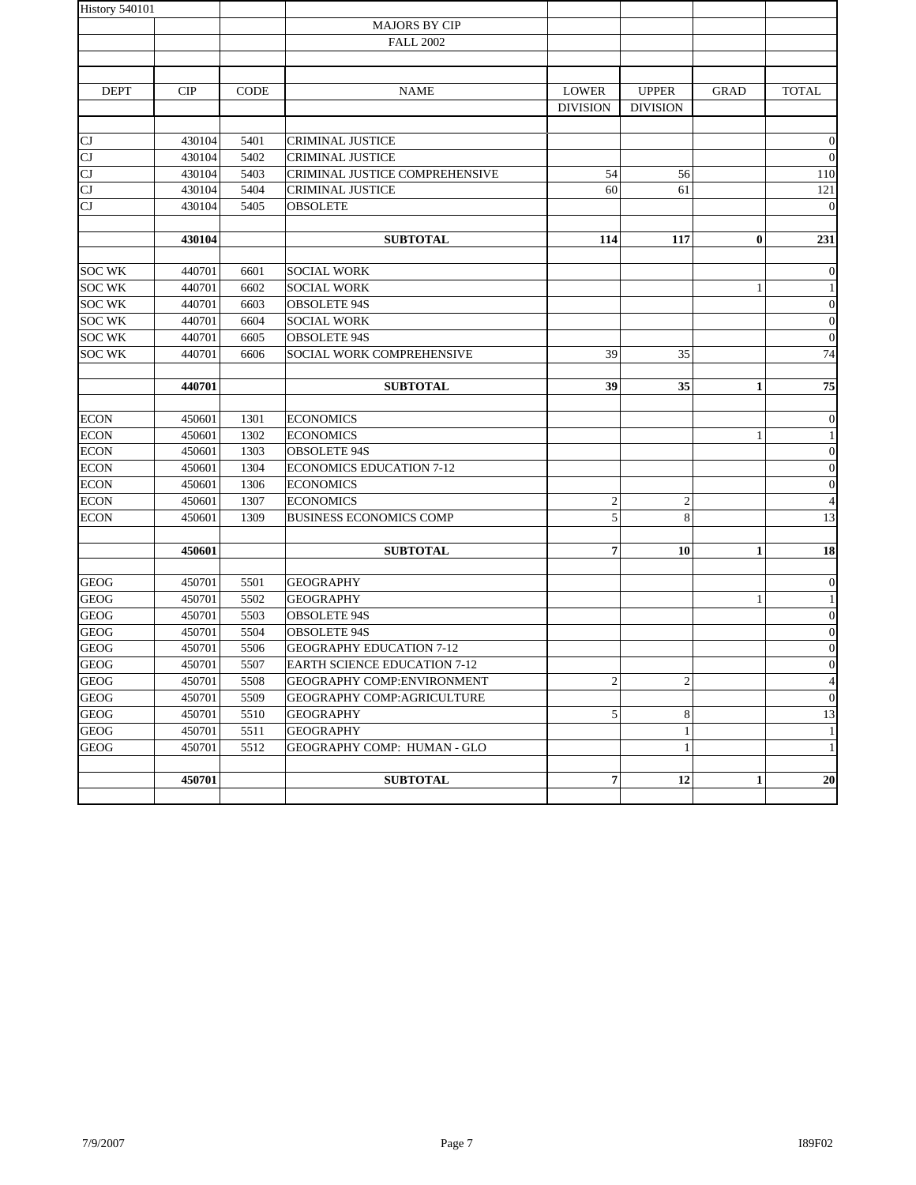| <b>History 540101</b> |            |             |                                     |                 |                 |              |                          |
|-----------------------|------------|-------------|-------------------------------------|-----------------|-----------------|--------------|--------------------------|
|                       |            |             | <b>MAJORS BY CIP</b>                |                 |                 |              |                          |
|                       |            |             | <b>FALL 2002</b>                    |                 |                 |              |                          |
|                       |            |             |                                     |                 |                 |              |                          |
|                       |            |             |                                     |                 |                 |              |                          |
| <b>DEPT</b>           | <b>CIP</b> | <b>CODE</b> | <b>NAME</b>                         | <b>LOWER</b>    | <b>UPPER</b>    | <b>GRAD</b>  | <b>TOTAL</b>             |
|                       |            |             |                                     | <b>DIVISION</b> | <b>DIVISION</b> |              |                          |
| CJ                    | 430104     | 5401        | <b>CRIMINAL JUSTICE</b>             |                 |                 |              | $\mathbf{0}$             |
| CJ                    | 430104     | 5402        | <b>CRIMINAL JUSTICE</b>             |                 |                 |              | $\boldsymbol{0}$         |
| CJ                    | 430104     | 5403        | CRIMINAL JUSTICE COMPREHENSIVE      | 54              | 56              |              | 110                      |
| CJ                    | 430104     | 5404        | <b>CRIMINAL JUSTICE</b>             | 60              | 61              |              | 121                      |
| CJ                    | 430104     | 5405        | <b>OBSOLETE</b>                     |                 |                 |              | $\mathbf{0}$             |
|                       |            |             |                                     |                 |                 |              |                          |
|                       | 430104     |             | <b>SUBTOTAL</b>                     | 114             | 117             | $\bf{0}$     | 231                      |
| <b>SOC WK</b>         | 440701     | 6601        | <b>SOCIAL WORK</b>                  |                 |                 |              | $\boldsymbol{0}$         |
| <b>SOC WK</b>         | 440701     | 6602        | <b>SOCIAL WORK</b>                  |                 |                 | 1            | $\mathbf{1}$             |
| <b>SOC WK</b>         | 440701     | 6603        | <b>OBSOLETE 94S</b>                 |                 |                 |              | $\boldsymbol{0}$         |
| <b>SOC WK</b>         | 440701     | 6604        | <b>SOCIAL WORK</b>                  |                 |                 |              | $\boldsymbol{0}$         |
| <b>SOC WK</b>         | 440701     | 6605        | <b>OBSOLETE 94S</b>                 |                 |                 |              | $\boldsymbol{0}$         |
| <b>SOC WK</b>         | 440701     | 6606        | SOCIAL WORK COMPREHENSIVE           | 39              | 35              |              | $74\,$                   |
|                       |            |             |                                     |                 |                 |              |                          |
|                       | 440701     |             | <b>SUBTOTAL</b>                     | 39              | 35              | $\mathbf{1}$ | 75                       |
| <b>ECON</b>           | 450601     | 1301        | <b>ECONOMICS</b>                    |                 |                 |              | $\boldsymbol{0}$         |
| <b>ECON</b>           | 450601     | 1302        | <b>ECONOMICS</b>                    |                 |                 | 1            | $\mathbf{1}$             |
| <b>ECON</b>           | 450601     | 1303        | <b>OBSOLETE 94S</b>                 |                 |                 |              | $\boldsymbol{0}$         |
| <b>ECON</b>           | 450601     | 1304        | <b>ECONOMICS EDUCATION 7-12</b>     |                 |                 |              | $\boldsymbol{0}$         |
| <b>ECON</b>           | 450601     | 1306        | <b>ECONOMICS</b>                    |                 |                 |              | $\mathbf{0}$             |
| <b>ECON</b>           | 450601     | 1307        | <b>ECONOMICS</b>                    | $\overline{c}$  | $\overline{2}$  |              | $\overline{\mathcal{L}}$ |
| <b>ECON</b>           | 450601     | 1309        | <b>BUSINESS ECONOMICS COMP</b>      | 5               | 8               |              | 13                       |
|                       | 450601     |             | <b>SUBTOTAL</b>                     | $\overline{7}$  | 10              | $\mathbf{1}$ | 18                       |
|                       |            |             |                                     |                 |                 |              |                          |
| <b>GEOG</b>           | 450701     | 5501        | <b>GEOGRAPHY</b>                    |                 |                 |              | $\mathbf{0}$             |
| <b>GEOG</b>           | 450701     | 5502        | <b>GEOGRAPHY</b>                    |                 |                 | 1            | $\mathbf{1}$             |
| <b>GEOG</b>           | 450701     | 5503        | <b>OBSOLETE 94S</b>                 |                 |                 |              | $\boldsymbol{0}$         |
| <b>GEOG</b>           | 450701     | 5504        | <b>OBSOLETE 94S</b>                 |                 |                 |              | $\boldsymbol{0}$         |
| <b>GEOG</b>           | 450701     | 5506        | <b>GEOGRAPHY EDUCATION 7-12</b>     |                 |                 |              | $\boldsymbol{0}$         |
| <b>GEOG</b>           | 450701     | 5507        | <b>EARTH SCIENCE EDUCATION 7-12</b> |                 |                 |              | $\mathbf{0}$             |
| <b>GEOG</b>           | 450701     | 5508        | <b>GEOGRAPHY COMP:ENVIRONMENT</b>   | $\overline{2}$  | $\sqrt{2}$      |              | $\overline{\mathcal{L}}$ |
| <b>GEOG</b>           | 450701     | 5509        | <b>GEOGRAPHY COMP:AGRICULTURE</b>   |                 |                 |              | $\mathbf{0}$             |
| <b>GEOG</b>           | 450701     | 5510        | <b>GEOGRAPHY</b>                    | 5               | $\,$ 8 $\,$     |              | 13                       |
| <b>GEOG</b>           | 450701     | 5511        | GEOGRAPHY                           |                 | $\mathbf{1}$    |              | $\mathbf{1}$             |
| <b>GEOG</b>           | 450701     | 5512        | GEOGRAPHY COMP: HUMAN - GLO         |                 | $\mathbf{1}$    |              | $\mathbf{1}$             |
|                       |            |             |                                     |                 |                 |              |                          |
|                       | 450701     |             | <b>SUBTOTAL</b>                     | 7               | 12              | 1            | 20                       |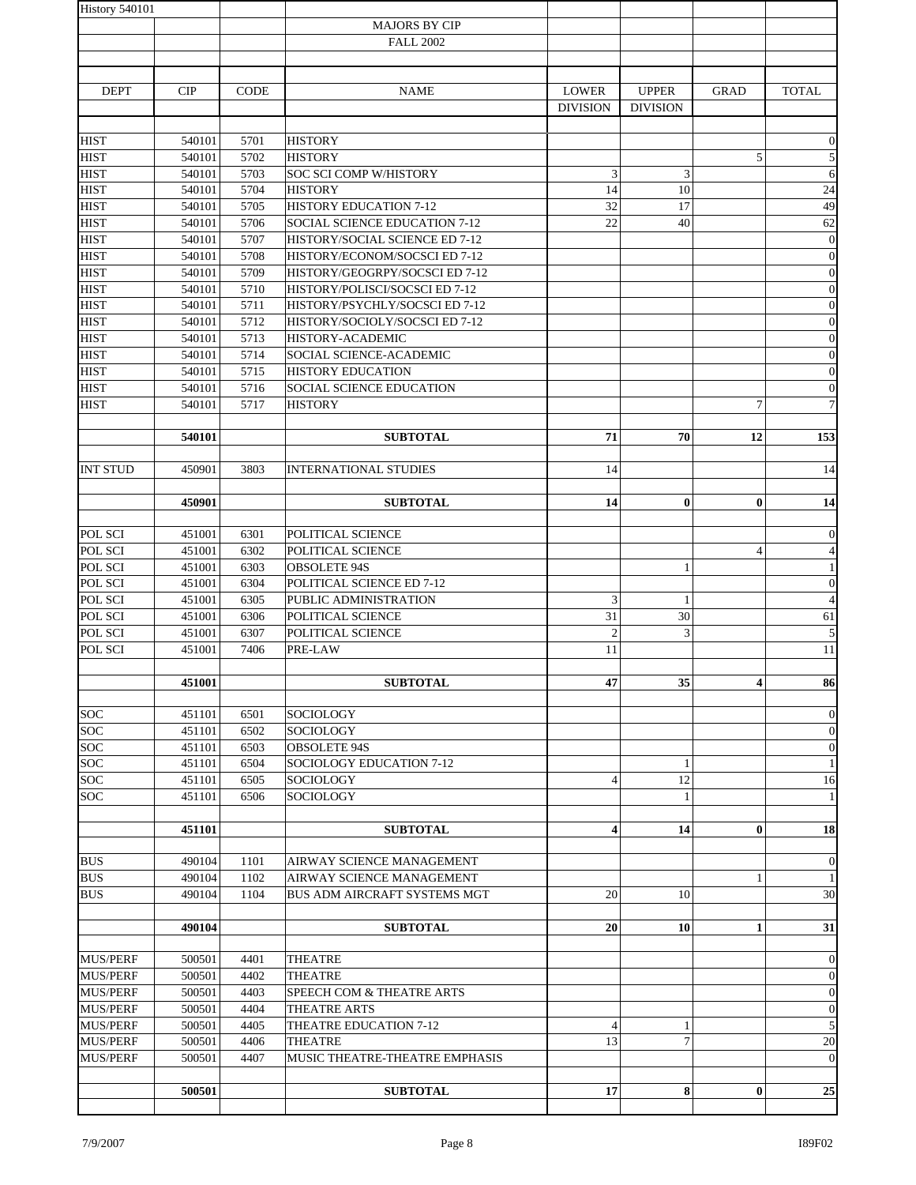| History 540101                     |                  |              |                                                                |                                 |                                 |                         |                                  |
|------------------------------------|------------------|--------------|----------------------------------------------------------------|---------------------------------|---------------------------------|-------------------------|----------------------------------|
|                                    |                  |              | <b>MAJORS BY CIP</b>                                           |                                 |                                 |                         |                                  |
|                                    |                  |              | <b>FALL 2002</b>                                               |                                 |                                 |                         |                                  |
| <b>DEPT</b>                        | CIP              | <b>CODE</b>  | <b>NAME</b>                                                    | <b>LOWER</b><br><b>DIVISION</b> | <b>UPPER</b><br><b>DIVISION</b> | <b>GRAD</b>             | <b>TOTAL</b>                     |
| <b>HIST</b>                        | 540101           | 5701         | <b>HISTORY</b>                                                 |                                 |                                 |                         | $\mathbf{0}$                     |
| <b>HIST</b>                        | 540101           | 5702         | <b>HISTORY</b>                                                 |                                 |                                 | 5                       | 5                                |
| <b>HIST</b>                        | 540101           | 5703         | SOC SCI COMP W/HISTORY                                         | 3                               | 3                               |                         | 6                                |
| <b>HIST</b>                        | 540101           | 5704         | <b>HISTORY</b>                                                 | 14                              | 10                              |                         | 24                               |
| <b>HIST</b><br><b>HIST</b>         | 540101           | 5705<br>5706 | <b>HISTORY EDUCATION 7-12</b><br>SOCIAL SCIENCE EDUCATION 7-12 | 32<br>22                        | 17<br>40                        |                         | 49                               |
| <b>HIST</b>                        | 540101<br>540101 | 5707         | HISTORY/SOCIAL SCIENCE ED 7-12                                 |                                 |                                 |                         | 62<br>$\boldsymbol{0}$           |
| <b>HIST</b>                        | 540101           | 5708         | HISTORY/ECONOM/SOCSCI ED 7-12                                  |                                 |                                 |                         | $\boldsymbol{0}$                 |
| <b>HIST</b>                        | 540101           | 5709         | HISTORY/GEOGRPY/SOCSCI ED 7-12                                 |                                 |                                 |                         | $\boldsymbol{0}$                 |
| <b>HIST</b>                        | 540101           | 5710         | HISTORY/POLISCI/SOCSCI ED 7-12                                 |                                 |                                 |                         | $\boldsymbol{0}$                 |
| <b>HIST</b>                        | 540101           | 5711         | HISTORY/PSYCHLY/SOCSCI ED 7-12                                 |                                 |                                 |                         | $\boldsymbol{0}$                 |
| <b>HIST</b><br><b>HIST</b>         | 540101<br>540101 | 5712<br>5713 | HISTORY/SOCIOLY/SOCSCI ED 7-12<br>HISTORY-ACADEMIC             |                                 |                                 |                         | $\boldsymbol{0}$<br>$\mathbf{0}$ |
| <b>HIST</b>                        | 540101           | 5714         | SOCIAL SCIENCE-ACADEMIC                                        |                                 |                                 |                         | $\boldsymbol{0}$                 |
| <b>HIST</b>                        | 540101           | 5715         | <b>HISTORY EDUCATION</b>                                       |                                 |                                 |                         | $\mathbf{0}$                     |
| <b>HIST</b>                        | 540101           | 5716         | SOCIAL SCIENCE EDUCATION                                       |                                 |                                 |                         | $\boldsymbol{0}$                 |
| <b>HIST</b>                        | 540101           | 5717         | <b>HISTORY</b>                                                 |                                 |                                 | $\overline{7}$          | $\overline{7}$                   |
|                                    | 540101           |              | <b>SUBTOTAL</b>                                                | 71                              | 70                              | 12                      | 153                              |
| <b>INT STUD</b>                    | 450901           | 3803         | <b>INTERNATIONAL STUDIES</b>                                   | 14                              |                                 |                         | 14                               |
|                                    | 450901           |              | <b>SUBTOTAL</b>                                                | 14                              | $\bf{0}$                        | $\bf{0}$                | 14                               |
| POL SCI                            | 451001           | 6301         | POLITICAL SCIENCE                                              |                                 |                                 |                         | $\boldsymbol{0}$                 |
| POL SCI                            | 451001           | 6302         | POLITICAL SCIENCE                                              |                                 |                                 | $\overline{4}$          | $\overline{4}$                   |
| POL SCI                            | 451001           | 6303<br>6304 | <b>OBSOLETE 94S</b><br>POLITICAL SCIENCE ED 7-12               |                                 | $\mathbf{1}$                    |                         | $\mathbf{1}$<br>$\boldsymbol{0}$ |
| POL SCI<br>POL SCI                 | 451001<br>451001 | 6305         | PUBLIC ADMINISTRATION                                          | 3                               | $\mathbf{1}$                    |                         | $\overline{4}$                   |
| POL SCI                            | 451001           | 6306         | POLITICAL SCIENCE                                              | 31                              | 30                              |                         | 61                               |
| POL SCI                            | 451001           | 6307         | POLITICAL SCIENCE                                              | $\mathfrak{2}$                  | 3                               |                         | 5                                |
| POL SCI                            | 451001           | 7406         | PRE-LAW                                                        | 11                              |                                 |                         | 11                               |
|                                    | 451001           |              | <b>SUBTOTAL</b>                                                | 47                              | 35                              | $\overline{\mathbf{4}}$ | 86                               |
| <b>SOC</b>                         | 451101           | 6501         | SOCIOLOGY                                                      |                                 |                                 |                         | $\mathbf{0}$                     |
| SOC                                | 451101           | 6502         | SOCIOLOGY                                                      |                                 |                                 |                         | $\mathbf{0}$                     |
| <b>SOC</b>                         | 451101           | 6503         | <b>OBSOLETE 94S</b>                                            |                                 |                                 |                         | $\mathbf{0}$                     |
| SOC                                | 451101           | 6504         | SOCIOLOGY EDUCATION 7-12                                       |                                 | 1                               |                         | $\mathbf{1}$                     |
| SOC                                | 451101           | 6505         | <b>SOCIOLOGY</b>                                               | 4                               | $\overline{12}$                 |                         | 16                               |
| <b>SOC</b>                         | 451101           | 6506         | SOCIOLOGY                                                      |                                 | $\mathbf{1}$                    |                         | $\mathbf{1}$                     |
|                                    | 451101           |              | <b>SUBTOTAL</b>                                                | 4                               | 14                              | $\bf{0}$                | 18                               |
| <b>BUS</b>                         | 490104           | 1101         | AIRWAY SCIENCE MANAGEMENT                                      |                                 |                                 |                         | $\boldsymbol{0}$                 |
| <b>BUS</b>                         | 490104           | 1102         | AIRWAY SCIENCE MANAGEMENT                                      |                                 |                                 | 1                       | $\mathbf{1}$                     |
| <b>BUS</b>                         | 490104           | 1104         | BUS ADM AIRCRAFT SYSTEMS MGT                                   | 20                              | 10                              |                         | 30                               |
|                                    | 490104           |              | <b>SUBTOTAL</b>                                                | 20                              | 10                              | $\mathbf{1}$            | 31                               |
| <b>MUS/PERF</b><br><b>MUS/PERF</b> | 500501<br>500501 | 4401<br>4402 | <b>THEATRE</b><br><b>THEATRE</b>                               |                                 |                                 |                         | $\theta$<br>$\theta$             |
| <b>MUS/PERF</b>                    | 500501           | 4403         | SPEECH COM & THEATRE ARTS                                      |                                 |                                 |                         | $\mathbf{0}$                     |
| <b>MUS/PERF</b>                    | 500501           | 4404         | THEATRE ARTS                                                   |                                 |                                 |                         | $\mathbf{0}$                     |
| <b>MUS/PERF</b>                    | 500501           | 4405         | THEATRE EDUCATION 7-12                                         | 4                               | $\mathbf{1}$                    |                         | $\overline{5}$                   |
| <b>MUS/PERF</b><br><b>MUS/PERF</b> | 500501<br>500501 | 4406<br>4407 | <b>THEATRE</b><br>MUSIC THEATRE-THEATRE EMPHASIS               | 13                              | $\overline{7}$                  |                         | 20<br>$\theta$                   |
|                                    |                  |              |                                                                |                                 |                                 |                         |                                  |
|                                    | 500501           |              | <b>SUBTOTAL</b>                                                | 17                              | 8                               | $\bf{0}$                | 25                               |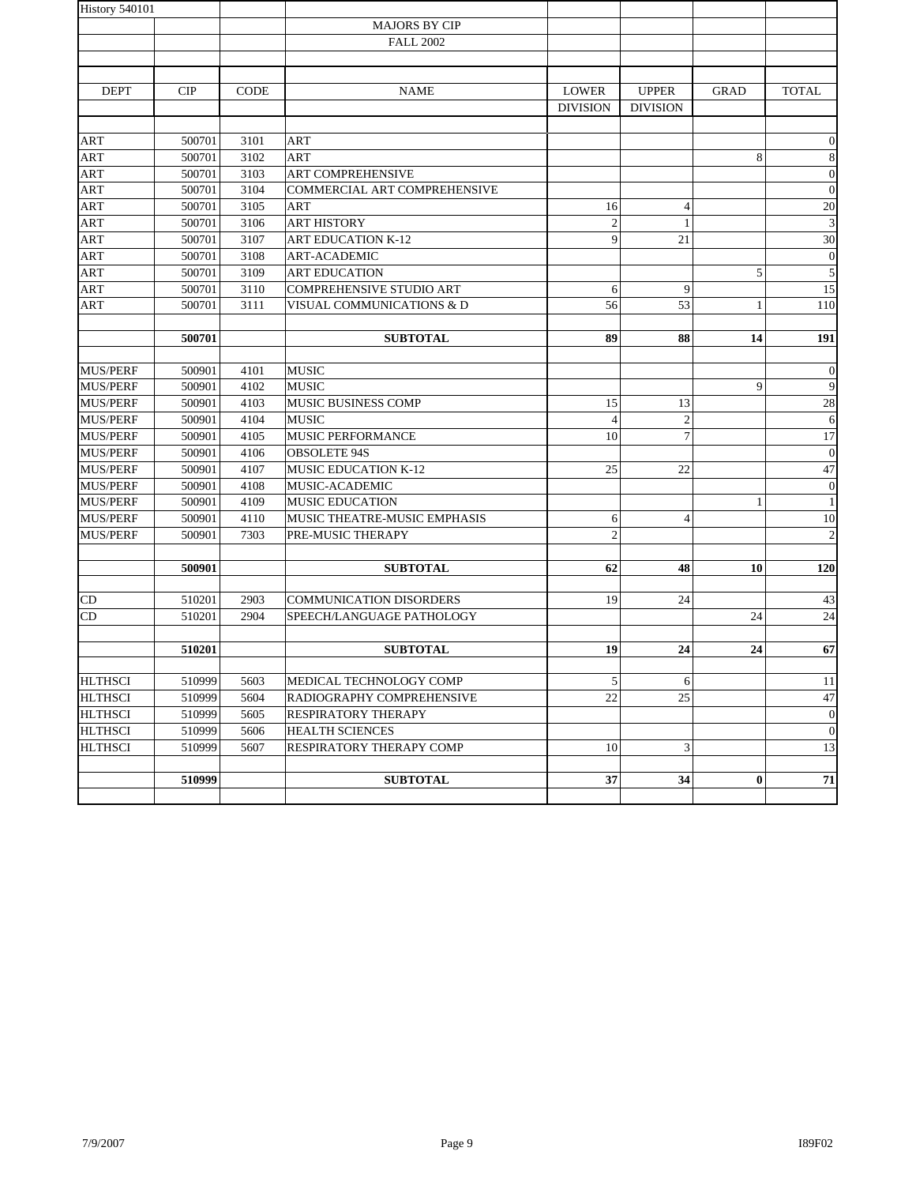| <b>History 540101</b> |            |             |                                             |                 |                 |             |                              |
|-----------------------|------------|-------------|---------------------------------------------|-----------------|-----------------|-------------|------------------------------|
|                       |            |             | <b>MAJORS BY CIP</b>                        |                 |                 |             |                              |
|                       |            |             | <b>FALL 2002</b>                            |                 |                 |             |                              |
|                       |            |             |                                             |                 |                 |             |                              |
|                       |            |             |                                             |                 |                 |             |                              |
| <b>DEPT</b>           | <b>CIP</b> | <b>CODE</b> | <b>NAME</b>                                 | <b>LOWER</b>    | <b>UPPER</b>    | <b>GRAD</b> | <b>TOTAL</b>                 |
|                       |            |             |                                             | <b>DIVISION</b> | <b>DIVISION</b> |             |                              |
| ART                   | 500701     | 3101        | ART                                         |                 |                 |             | $\mathbf{0}$                 |
| <b>ART</b>            | 500701     | 3102        | ART                                         |                 |                 | 8           | $\,$ 8 $\,$                  |
| ART                   | 500701     | 3103        | <b>ART COMPREHENSIVE</b>                    |                 |                 |             | $\boldsymbol{0}$             |
| ART                   | 500701     | 3104        | COMMERCIAL ART COMPREHENSIVE                |                 |                 |             | $\boldsymbol{0}$             |
| ART                   | 500701     | 3105        | <b>ART</b>                                  | 16              | $\overline{4}$  |             | $20\,$                       |
| <b>ART</b>            | 500701     | 3106        | <b>ART HISTORY</b>                          | $\overline{2}$  | $\mathbf{1}$    |             | $\sqrt{3}$                   |
| ART                   | 500701     | 3107        | <b>ART EDUCATION K-12</b>                   | 9               | 21              |             | 30                           |
| <b>ART</b>            | 500701     | 3108        | <b>ART-ACADEMIC</b>                         |                 |                 |             | $\boldsymbol{0}$             |
| ART                   | 500701     | 3109        | <b>ART EDUCATION</b>                        |                 |                 | 5           | $\sqrt{5}$                   |
| ART                   | 500701     | 3110        | <b>COMPREHENSIVE STUDIO ART</b>             | 6               | 9               |             | 15                           |
| <b>ART</b>            | 500701     | 3111        | VISUAL COMMUNICATIONS & D                   | 56              | 53              | 1           | 110                          |
|                       |            |             |                                             |                 |                 |             |                              |
|                       | 500701     |             | <b>SUBTOTAL</b>                             | 89              | 88              | 14          | 191                          |
|                       |            |             |                                             |                 |                 |             |                              |
| <b>MUS/PERF</b>       | 500901     | 4101        | <b>MUSIC</b>                                |                 |                 |             | $\mathbf{0}$                 |
| <b>MUS/PERF</b>       | 500901     | 4102        | <b>MUSIC</b>                                |                 |                 | 9           | 9                            |
| <b>MUS/PERF</b>       | 500901     | 4103        | MUSIC BUSINESS COMP                         | 15              | 13              |             | 28                           |
| <b>MUS/PERF</b>       | 500901     | 4104        | <b>MUSIC</b>                                | 4               | $\mathbf{2}$    |             | 6                            |
| <b>MUS/PERF</b>       | 500901     | 4105        | MUSIC PERFORMANCE                           | 10              | $\overline{7}$  |             | 17                           |
| <b>MUS/PERF</b>       | 500901     | 4106        | <b>OBSOLETE 94S</b>                         |                 |                 |             | $\boldsymbol{0}$             |
| <b>MUS/PERF</b>       | 500901     | 4107        | <b>MUSIC EDUCATION K-12</b>                 | 25              | 22              |             | 47                           |
| <b>MUS/PERF</b>       | 500901     | 4108        | MUSIC-ACADEMIC                              |                 |                 |             | $\boldsymbol{0}$             |
| <b>MUS/PERF</b>       | 500901     | 4109        | <b>MUSIC EDUCATION</b>                      |                 |                 | 1           | $1\,$                        |
| <b>MUS/PERF</b>       | 500901     | 4110        | MUSIC THEATRE-MUSIC EMPHASIS                | 6               | $\overline{4}$  |             | 10                           |
| <b>MUS/PERF</b>       | 500901     | 7303        | PRE-MUSIC THERAPY                           | $\overline{2}$  |                 |             | $\sqrt{2}$                   |
|                       |            |             |                                             |                 |                 |             |                              |
|                       | 500901     |             | <b>SUBTOTAL</b>                             | 62              | 48              | 10          | 120                          |
| CD                    | 510201     | 2903        | <b>COMMUNICATION DISORDERS</b>              | 19              | 24              |             | 43                           |
| CD                    | 510201     | 2904        | SPEECH/LANGUAGE PATHOLOGY                   |                 |                 | 24          | 24                           |
|                       |            |             |                                             |                 |                 |             |                              |
|                       | 510201     |             | <b>SUBTOTAL</b>                             | 19              | 24              | 24          | 67                           |
|                       |            |             |                                             |                 |                 |             |                              |
| <b>HLTHSCI</b>        | 510999     | 5603        | MEDICAL TECHNOLOGY COMP                     | $\sqrt{5}$      | 6               |             | 11                           |
| <b>HLTHSCI</b>        | 510999     | 5604        | RADIOGRAPHY COMPREHENSIVE                   | 22              | $25\,$          |             | 47                           |
| <b>HLTHSCI</b>        | 510999     | 5605        | <b>RESPIRATORY THERAPY</b>                  |                 |                 |             | $\mathbf{0}$<br>$\mathbf{0}$ |
| <b>HLTHSCI</b>        | 510999     | 5606        | HEALTH SCIENCES<br>RESPIRATORY THERAPY COMP |                 |                 |             |                              |
| <b>HLTHSCI</b>        | 510999     | 5607        |                                             | 10              | $\mathfrak{Z}$  |             | 13                           |
|                       | 510999     |             | <b>SUBTOTAL</b>                             | 37              | 34              | $\bf{0}$    | 71                           |
|                       |            |             |                                             |                 |                 |             |                              |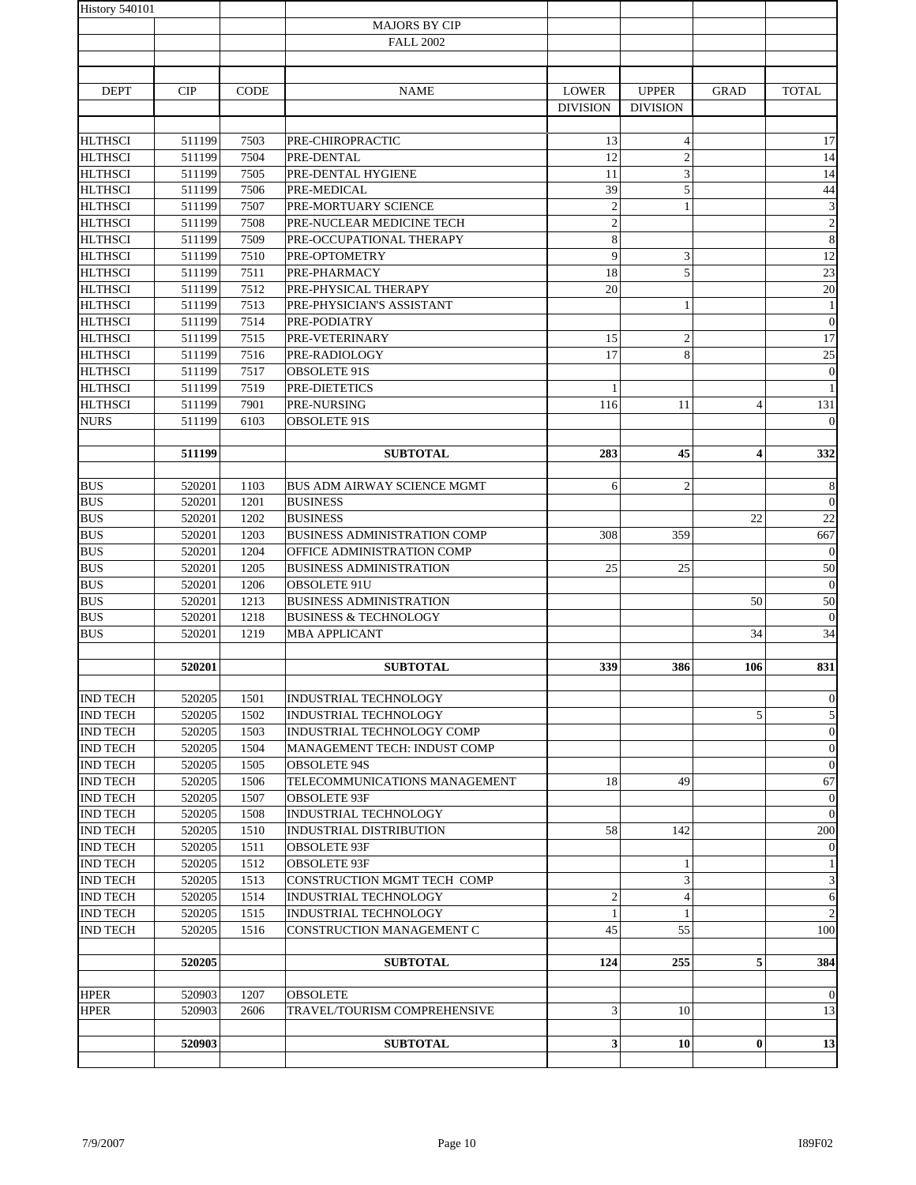| <b>History 540101</b> |        |             |                                     |                 |                 |                         |                           |
|-----------------------|--------|-------------|-------------------------------------|-----------------|-----------------|-------------------------|---------------------------|
|                       |        |             | <b>MAJORS BY CIP</b>                |                 |                 |                         |                           |
|                       |        |             | <b>FALL 2002</b>                    |                 |                 |                         |                           |
|                       |        |             |                                     |                 |                 |                         |                           |
| <b>DEPT</b>           | CIP    | <b>CODE</b> | <b>NAME</b>                         | <b>LOWER</b>    | <b>UPPER</b>    | <b>GRAD</b>             | <b>TOTAL</b>              |
|                       |        |             |                                     | <b>DIVISION</b> | <b>DIVISION</b> |                         |                           |
|                       |        |             |                                     |                 |                 |                         |                           |
| <b>HLTHSCI</b>        | 511199 | 7503        | PRE-CHIROPRACTIC                    | 13              | $\overline{4}$  |                         | 17                        |
| <b>HLTHSCI</b>        | 511199 | 7504        | PRE-DENTAL                          | 12              | $\overline{2}$  |                         | 14                        |
| <b>HLTHSCI</b>        | 511199 | 7505        | PRE-DENTAL HYGIENE                  | 11              | 3               |                         | 14                        |
| <b>HLTHSCI</b>        | 511199 | 7506        | PRE-MEDICAL                         | 39              | 5               |                         | 44                        |
| <b>HLTHSCI</b>        | 511199 | 7507        | PRE-MORTUARY SCIENCE                | $\sqrt{2}$      | $\mathbf{1}$    |                         | $\ensuremath{\mathbf{3}}$ |
| <b>HLTHSCI</b>        | 511199 | 7508        | PRE-NUCLEAR MEDICINE TECH           | $\sqrt{2}$      |                 |                         | $\overline{c}$            |
| <b>HLTHSCI</b>        | 511199 | 7509        | PRE-OCCUPATIONAL THERAPY            | $\,$ 8 $\,$     |                 |                         | $\,8\,$                   |
| <b>HLTHSCI</b>        | 511199 | 7510        | PRE-OPTOMETRY                       | 9               | 3               |                         | 12                        |
| <b>HLTHSCI</b>        | 511199 | 7511        | PRE-PHARMACY                        | 18              | 5               |                         | 23                        |
| HLTHSCI               | 511199 | 7512        | PRE-PHYSICAL THERAPY                | 20              |                 |                         | 20                        |
| <b>HLTHSCI</b>        | 511199 | 7513        | PRE-PHYSICIAN'S ASSISTANT           |                 | 1               |                         | $\mathbf{1}$              |
| <b>HLTHSCI</b>        | 511199 | 7514        | PRE-PODIATRY                        |                 |                 |                         | $\overline{0}$            |
| <b>HLTHSCI</b>        | 511199 | 7515        | PRE-VETERINARY                      | 15              | $\overline{2}$  |                         | 17                        |
| <b>HLTHSCI</b>        | 511199 | 7516        | PRE-RADIOLOGY                       | 17              | 8               |                         | 25                        |
| <b>HLTHSCI</b>        | 511199 | 7517        | <b>OBSOLETE 91S</b>                 |                 |                 |                         | $\overline{0}$            |
| HLTHSCI               | 511199 | 7519        | PRE-DIETETICS                       | 1               |                 |                         |                           |
| <b>HLTHSCI</b>        | 511199 | 7901        | PRE-NURSING                         | 116             | 11              | $\overline{4}$          | 131                       |
| NURS                  | 511199 | 6103        | <b>OBSOLETE 91S</b>                 |                 |                 |                         | $\theta$                  |
|                       |        |             |                                     |                 |                 |                         |                           |
|                       | 511199 |             | <b>SUBTOTAL</b>                     | 283             | 45              | $\overline{\mathbf{4}}$ | 332                       |
|                       |        |             |                                     |                 |                 |                         |                           |
| <b>BUS</b>            | 520201 | 1103        | BUS ADM AIRWAY SCIENCE MGMT         | 6               | $\overline{2}$  |                         | 8                         |
| <b>BUS</b>            | 520201 | 1201        | <b>BUSINESS</b>                     |                 |                 |                         | $\theta$                  |
| <b>BUS</b>            | 520201 | 1202        | <b>BUSINESS</b>                     |                 |                 | 22                      | 22                        |
| <b>BUS</b>            | 520201 | 1203        | <b>BUSINESS ADMINISTRATION COMP</b> | 308             | 359             |                         | 667                       |
| <b>BUS</b>            | 520201 | 1204        | OFFICE ADMINISTRATION COMP          |                 |                 |                         | $\overline{0}$            |
| <b>BUS</b>            | 520201 | 1205        | <b>BUSINESS ADMINISTRATION</b>      | 25              | 25              |                         | 50                        |
| <b>BUS</b>            | 520201 | 1206        | <b>OBSOLETE 91U</b>                 |                 |                 |                         | $\overline{0}$            |
| <b>BUS</b>            | 520201 | 1213        | <b>BUSINESS ADMINISTRATION</b>      |                 |                 | 50                      | 50                        |
| <b>BUS</b>            | 520201 | 1218        | <b>BUSINESS &amp; TECHNOLOGY</b>    |                 |                 |                         | $\overline{0}$            |
| <b>BUS</b>            | 520201 | 1219        | <b>MBA APPLICANT</b>                |                 |                 | 34                      | 34                        |
|                       |        |             |                                     |                 |                 |                         | 831                       |
|                       | 520201 |             | <b>SUBTOTAL</b>                     | 339             | 386             | 106                     |                           |
| <b>IND TECH</b>       | 520205 | 1501        | INDUSTRIAL TECHNOLOGY               |                 |                 |                         | $\mathbf{0}$              |
| <b>IND TECH</b>       | 520205 | 1502        | <b>INDUSTRIAL TECHNOLOGY</b>        |                 |                 | 5                       | 5                         |
| <b>IND TECH</b>       | 520205 | 1503        | INDUSTRIAL TECHNOLOGY COMP          |                 |                 |                         | $\overline{0}$            |
| <b>IND TECH</b>       | 520205 | 1504        | MANAGEMENT TECH: INDUST COMP        |                 |                 |                         | $\mathbf{0}$              |
| IND TECH              | 520205 | 1505        | <b>OBSOLETE 94S</b>                 |                 |                 |                         | $\overline{0}$            |
| IND TECH              | 520205 | 1506        | TELECOMMUNICATIONS MANAGEMENT       | 18              | 49              |                         | 67                        |
| <b>IND TECH</b>       | 520205 | 1507        | <b>OBSOLETE 93F</b>                 |                 |                 |                         | $\mathbf{0}$              |
| <b>IND TECH</b>       | 520205 | 1508        | INDUSTRIAL TECHNOLOGY               |                 |                 |                         | $\theta$                  |
| <b>IND TECH</b>       | 520205 | 1510        | INDUSTRIAL DISTRIBUTION             | 58              | 142             |                         | 200                       |
| <b>IND TECH</b>       | 520205 | 1511        | <b>OBSOLETE 93F</b>                 |                 |                 |                         | $\theta$                  |
| IND TECH              | 520205 | 1512        | <b>OBSOLETE 93F</b>                 |                 | 1               |                         | 1                         |
| IND TECH              | 520205 | 1513        | CONSTRUCTION MGMT TECH COMP         |                 | 3               |                         | 3                         |
| IND TECH              | 520205 | 1514        | INDUSTRIAL TECHNOLOGY               | $\overline{2}$  | $\overline{4}$  |                         | 6                         |
| IND TECH              | 520205 | 1515        | INDUSTRIAL TECHNOLOGY               | $\mathbf{1}$    | $\mathbf{1}$    |                         | $\sqrt{2}$                |
| IND TECH              | 520205 | 1516        | CONSTRUCTION MANAGEMENT C           | 45              | 55              |                         | 100                       |
|                       |        |             |                                     |                 |                 |                         |                           |
|                       | 520205 |             | <b>SUBTOTAL</b>                     | 124             | 255             | 5                       | 384                       |
|                       |        |             |                                     |                 |                 |                         |                           |
| HPER                  | 520903 | 1207        | <b>OBSOLETE</b>                     |                 |                 |                         | $\theta$                  |
| <b>HPER</b>           | 520903 | 2606        | TRAVEL/TOURISM COMPREHENSIVE        | 3               | 10              |                         | 13                        |
|                       |        |             |                                     |                 |                 |                         |                           |
|                       | 520903 |             | <b>SUBTOTAL</b>                     | 3               | 10              | $\bf{0}$                | 13                        |
|                       |        |             |                                     |                 |                 |                         |                           |
|                       |        |             |                                     |                 |                 |                         |                           |